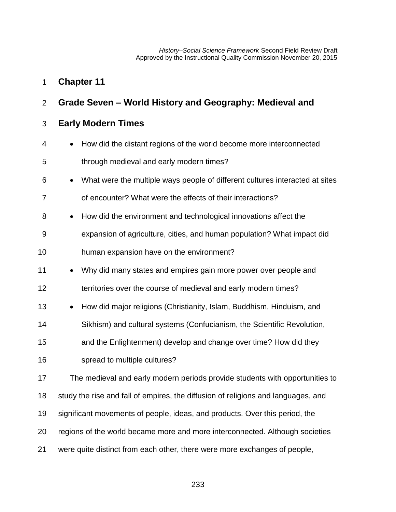*History–Social Science Framework* Second Field Review Draft Approved by the Instructional Quality Commission November 20, 2015

| $\overline{2}$ | Grade Seven – World History and Geography: Medieval and                                   |
|----------------|-------------------------------------------------------------------------------------------|
| 3              | <b>Early Modern Times</b>                                                                 |
| 4              | How did the distant regions of the world become more interconnected<br>$\bullet$          |
| 5              | through medieval and early modern times?                                                  |
| 6              | What were the multiple ways people of different cultures interacted at sites<br>$\bullet$ |
| 7              | of encounter? What were the effects of their interactions?                                |
| 8              | How did the environment and technological innovations affect the<br>$\bullet$             |
| 9              | expansion of agriculture, cities, and human population? What impact did                   |
| 10             | human expansion have on the environment?                                                  |
| 11             | Why did many states and empires gain more power over people and<br>$\bullet$              |
| 12             | territories over the course of medieval and early modern times?                           |
| 13             | How did major religions (Christianity, Islam, Buddhism, Hinduism, and<br>$\bullet$        |
| 14             | Sikhism) and cultural systems (Confucianism, the Scientific Revolution,                   |
| 15             | and the Enlightenment) develop and change over time? How did they                         |
| 16             | spread to multiple cultures?                                                              |
| 17             | The medieval and early modern periods provide students with opportunities to              |
| 18             | study the rise and fall of empires, the diffusion of religions and languages, and         |
| 19             | significant movements of people, ideas, and products. Over this period, the               |
| 20             | regions of the world became more and more interconnected. Although societies              |
| 21             | were quite distinct from each other, there were more exchanges of people,                 |

**Chapter 11**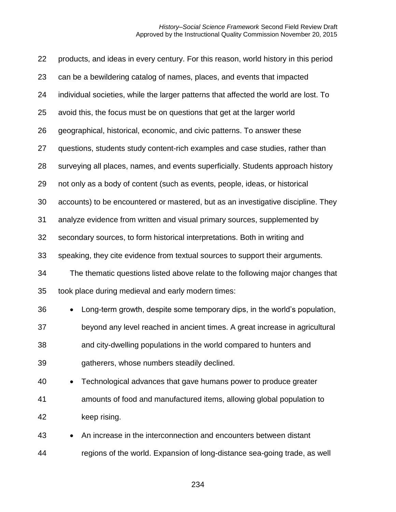| 22 | products, and ideas in every century. For this reason, world history in this period  |
|----|--------------------------------------------------------------------------------------|
| 23 | can be a bewildering catalog of names, places, and events that impacted              |
| 24 | individual societies, while the larger patterns that affected the world are lost. To |
| 25 | avoid this, the focus must be on questions that get at the larger world              |
| 26 | geographical, historical, economic, and civic patterns. To answer these              |
| 27 | questions, students study content-rich examples and case studies, rather than        |
| 28 | surveying all places, names, and events superficially. Students approach history     |
| 29 | not only as a body of content (such as events, people, ideas, or historical          |
| 30 | accounts) to be encountered or mastered, but as an investigative discipline. They    |
| 31 | analyze evidence from written and visual primary sources, supplemented by            |
| 32 | secondary sources, to form historical interpretations. Both in writing and           |
| 33 | speaking, they cite evidence from textual sources to support their arguments.        |
| 34 | The thematic questions listed above relate to the following major changes that       |
| 35 | took place during medieval and early modern times:                                   |
| 36 | Long-term growth, despite some temporary dips, in the world's population,<br>۰       |
| 37 | beyond any level reached in ancient times. A great increase in agricultural          |
| 38 | and city-dwelling populations in the world compared to hunters and                   |
| 39 | gatherers, whose numbers steadily declined.                                          |
| 40 | Technological advances that gave humans power to produce greater<br>$\bullet$        |
| 41 | amounts of food and manufactured items, allowing global population to                |
| 42 | keep rising.                                                                         |
| 43 | An increase in the interconnection and encounters between distant                    |
| 44 | regions of the world. Expansion of long-distance sea-going trade, as well            |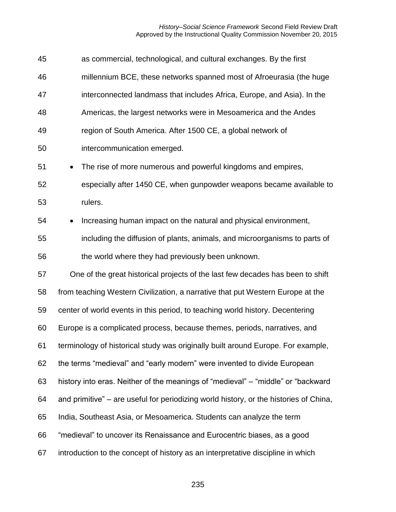#### *History–Social Science Framework* Second Field Review Draft Approved by the Instructional Quality Commission November 20, 2015

| 45 | as commercial, technological, and cultural exchanges. By the first                    |
|----|---------------------------------------------------------------------------------------|
| 46 | millennium BCE, these networks spanned most of Afroeurasia (the huge                  |
| 47 | interconnected landmass that includes Africa, Europe, and Asia). In the               |
| 48 | Americas, the largest networks were in Mesoamerica and the Andes                      |
| 49 | region of South America. After 1500 CE, a global network of                           |
| 50 | intercommunication emerged.                                                           |
| 51 | The rise of more numerous and powerful kingdoms and empires,<br>$\bullet$             |
| 52 | especially after 1450 CE, when gunpowder weapons became available to                  |
| 53 | rulers.                                                                               |
| 54 | Increasing human impact on the natural and physical environment,<br>$\bullet$         |
| 55 | including the diffusion of plants, animals, and microorganisms to parts of            |
| 56 | the world where they had previously been unknown.                                     |
| 57 | One of the great historical projects of the last few decades has been to shift        |
| 58 | from teaching Western Civilization, a narrative that put Western Europe at the        |
| 59 | center of world events in this period, to teaching world history. Decentering         |
| 60 | Europe is a complicated process, because themes, periods, narratives, and             |
| 61 | terminology of historical study was originally built around Europe. For example,      |
| 62 | the terms "medieval" and "early modern" were invented to divide European              |
| 63 | history into eras. Neither of the meanings of "medieval" - "middle" or "backward      |
| 64 | and primitive" – are useful for periodizing world history, or the histories of China, |
| 65 | India, Southeast Asia, or Mesoamerica. Students can analyze the term                  |
| 66 | "medieval" to uncover its Renaissance and Eurocentric biases, as a good               |
| 67 | introduction to the concept of history as an interpretative discipline in which       |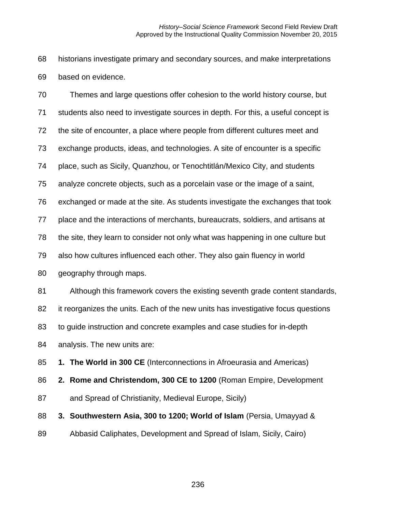historians investigate primary and secondary sources, and make interpretations based on evidence.

 Themes and large questions offer cohesion to the world history course, but students also need to investigate sources in depth. For this, a useful concept is the site of encounter, a place where people from different cultures meet and exchange products, ideas, and technologies. A site of encounter is a specific place, such as Sicily, Quanzhou, or Tenochtitlán/Mexico City, and students analyze concrete objects, such as a porcelain vase or the image of a saint, exchanged or made at the site. As students investigate the exchanges that took place and the interactions of merchants, bureaucrats, soldiers, and artisans at the site, they learn to consider not only what was happening in one culture but also how cultures influenced each other. They also gain fluency in world geography through maps. Although this framework covers the existing seventh grade content standards, it reorganizes the units. Each of the new units has investigative focus questions to guide instruction and concrete examples and case studies for in-depth analysis. The new units are: **1. The World in 300 CE** (Interconnections in Afroeurasia and Americas) **2. Rome and Christendom, 300 CE to 1200** (Roman Empire, Development and Spread of Christianity, Medieval Europe, Sicily)

 **3. Southwestern Asia, 300 to 1200; World of Islam** (Persia, Umayyad & Abbasid Caliphates, Development and Spread of Islam, Sicily, Cairo)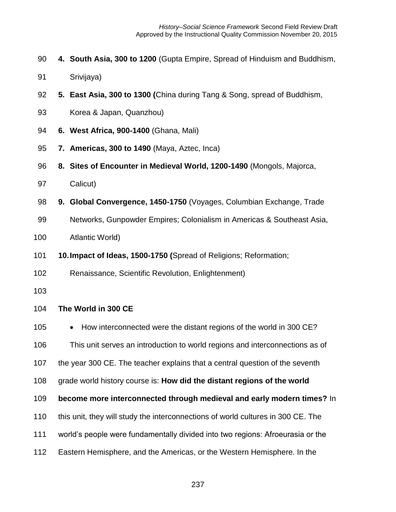- **4. South Asia, 300 to 1200** (Gupta Empire, Spread of Hinduism and Buddhism,
- Srivijaya)
- **5. East Asia, 300 to 1300 (**China during Tang & Song, spread of Buddhism,
- Korea & Japan, Quanzhou)
- **6. West Africa, 900-1400** (Ghana, Mali)
- **7. Americas, 300 to 1490** (Maya, Aztec, Inca)
- **8. Sites of Encounter in Medieval World, 1200-1490** (Mongols, Majorca,
- Calicut)
- **9. Global Convergence, 1450-1750** (Voyages, Columbian Exchange, Trade
- Networks, Gunpowder Empires; Colonialism in Americas & Southeast Asia,
- Atlantic World)
- **10.Impact of Ideas, 1500-1750 (**Spread of Religions; Reformation;
- Renaissance, Scientific Revolution, Enlightenment)
- 

# **The World in 300 CE**

105 • How interconnected were the distant regions of the world in 300 CE?

This unit serves an introduction to world regions and interconnections as of

the year 300 CE. The teacher explains that a central question of the seventh

grade world history course is: **How did the distant regions of the world** 

**become more interconnected through medieval and early modern times?** In

- this unit, they will study the interconnections of world cultures in 300 CE. The
- world's people were fundamentally divided into two regions: Afroeurasia or the
- Eastern Hemisphere, and the Americas, or the Western Hemisphere. In the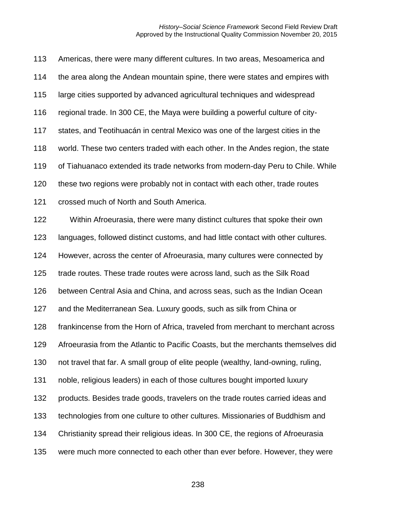Americas, there were many different cultures. In two areas, Mesoamerica and the area along the Andean mountain spine, there were states and empires with large cities supported by advanced agricultural techniques and widespread regional trade. In 300 CE, the Maya were building a powerful culture of city- states, and Teotihuacán in central Mexico was one of the largest cities in the world. These two centers traded with each other. In the Andes region, the state of Tiahuanaco extended its trade networks from modern-day Peru to Chile. While these two regions were probably not in contact with each other, trade routes crossed much of North and South America. Within Afroeurasia, there were many distinct cultures that spoke their own languages, followed distinct customs, and had little contact with other cultures. However, across the center of Afroeurasia, many cultures were connected by trade routes. These trade routes were across land, such as the Silk Road between Central Asia and China, and across seas, such as the Indian Ocean and the Mediterranean Sea. Luxury goods, such as silk from China or frankincense from the Horn of Africa, traveled from merchant to merchant across Afroeurasia from the Atlantic to Pacific Coasts, but the merchants themselves did not travel that far. A small group of elite people (wealthy, land-owning, ruling, noble, religious leaders) in each of those cultures bought imported luxury products. Besides trade goods, travelers on the trade routes carried ideas and technologies from one culture to other cultures. Missionaries of Buddhism and Christianity spread their religious ideas. In 300 CE, the regions of Afroeurasia were much more connected to each other than ever before. However, they were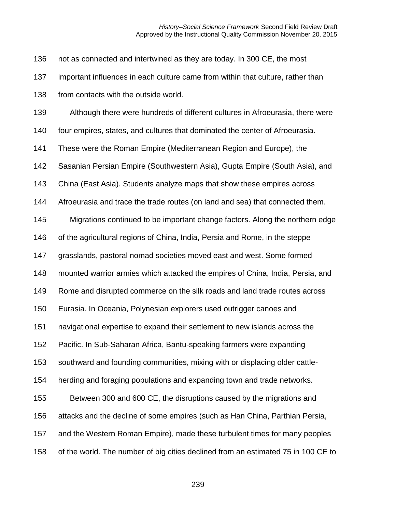not as connected and intertwined as they are today. In 300 CE, the most

important influences in each culture came from within that culture, rather than

from contacts with the outside world.

Although there were hundreds of different cultures in Afroeurasia, there were

four empires, states, and cultures that dominated the center of Afroeurasia.

These were the Roman Empire (Mediterranean Region and Europe), the

Sasanian Persian Empire (Southwestern Asia), Gupta Empire (South Asia), and

China (East Asia). Students analyze maps that show these empires across

Afroeurasia and trace the trade routes (on land and sea) that connected them.

Migrations continued to be important change factors. Along the northern edge

of the agricultural regions of China, India, Persia and Rome, in the steppe

grasslands, pastoral nomad societies moved east and west. Some formed

mounted warrior armies which attacked the empires of China, India, Persia, and

Rome and disrupted commerce on the silk roads and land trade routes across

Eurasia. In Oceania, Polynesian explorers used outrigger canoes and

navigational expertise to expand their settlement to new islands across the

Pacific. In Sub-Saharan Africa, Bantu-speaking farmers were expanding

southward and founding communities, mixing with or displacing older cattle-

herding and foraging populations and expanding town and trade networks.

Between 300 and 600 CE, the disruptions caused by the migrations and

attacks and the decline of some empires (such as Han China, Parthian Persia,

and the Western Roman Empire), made these turbulent times for many peoples

of the world. The number of big cities declined from an estimated 75 in 100 CE to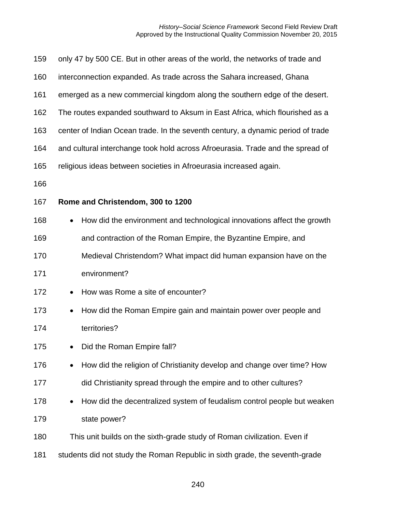| 159 | only 47 by 500 CE. But in other areas of the world, the networks of trade and        |
|-----|--------------------------------------------------------------------------------------|
| 160 | interconnection expanded. As trade across the Sahara increased, Ghana                |
| 161 | emerged as a new commercial kingdom along the southern edge of the desert.           |
| 162 | The routes expanded southward to Aksum in East Africa, which flourished as a         |
| 163 | center of Indian Ocean trade. In the seventh century, a dynamic period of trade      |
| 164 | and cultural interchange took hold across Afroeurasia. Trade and the spread of       |
| 165 | religious ideas between societies in Afroeurasia increased again.                    |
| 166 |                                                                                      |
| 167 | Rome and Christendom, 300 to 1200                                                    |
| 168 | How did the environment and technological innovations affect the growth<br>$\bullet$ |
| 169 | and contraction of the Roman Empire, the Byzantine Empire, and                       |
| 170 | Medieval Christendom? What impact did human expansion have on the                    |
| 171 | environment?                                                                         |
| 172 | How was Rome a site of encounter?<br>$\bullet$                                       |
| 173 | How did the Roman Empire gain and maintain power over people and<br>$\bullet$        |
| 174 | territories?                                                                         |
| 175 | Did the Roman Empire fall?                                                           |
| 176 | How did the religion of Christianity develop and change over time? How               |
| 177 | did Christianity spread through the empire and to other cultures?                    |
| 178 | How did the decentralized system of feudalism control people but weaken              |
| 179 | state power?                                                                         |
| 180 | This unit builds on the sixth-grade study of Roman civilization. Even if             |
| 181 | students did not study the Roman Republic in sixth grade, the seventh-grade          |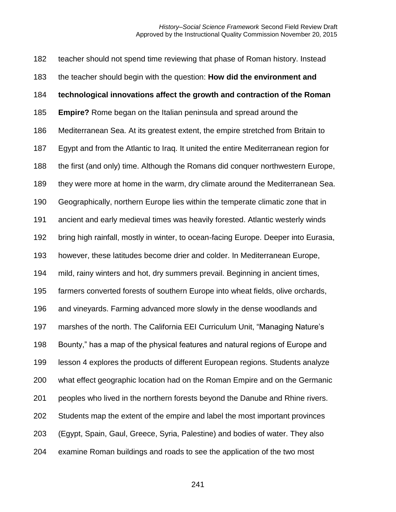teacher should not spend time reviewing that phase of Roman history. Instead the teacher should begin with the question: **How did the environment and technological innovations affect the growth and contraction of the Roman Empire?** Rome began on the Italian peninsula and spread around the Mediterranean Sea. At its greatest extent, the empire stretched from Britain to Egypt and from the Atlantic to Iraq. It united the entire Mediterranean region for the first (and only) time. Although the Romans did conquer northwestern Europe, they were more at home in the warm, dry climate around the Mediterranean Sea. Geographically, northern Europe lies within the temperate climatic zone that in ancient and early medieval times was heavily forested. Atlantic westerly winds bring high rainfall, mostly in winter, to ocean-facing Europe. Deeper into Eurasia, however, these latitudes become drier and colder. In Mediterranean Europe, mild, rainy winters and hot, dry summers prevail. Beginning in ancient times, farmers converted forests of southern Europe into wheat fields, olive orchards, and vineyards. Farming advanced more slowly in the dense woodlands and marshes of the north. The California EEI Curriculum Unit, "Managing Nature's Bounty," has a map of the physical features and natural regions of Europe and lesson 4 explores the products of different European regions. Students analyze what effect geographic location had on the Roman Empire and on the Germanic peoples who lived in the northern forests beyond the Danube and Rhine rivers. Students map the extent of the empire and label the most important provinces (Egypt, Spain, Gaul, Greece, Syria, Palestine) and bodies of water. They also examine Roman buildings and roads to see the application of the two most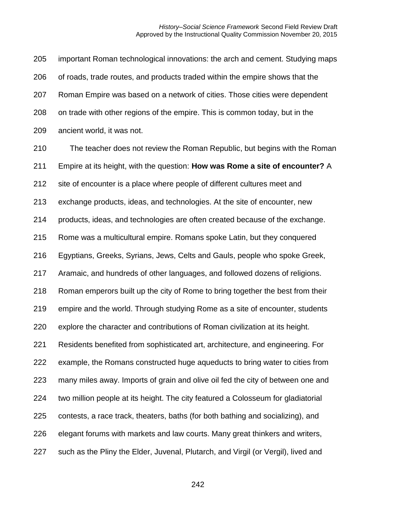important Roman technological innovations: the arch and cement. Studying maps of roads, trade routes, and products traded within the empire shows that the Roman Empire was based on a network of cities. Those cities were dependent on trade with other regions of the empire. This is common today, but in the ancient world, it was not.

 The teacher does not review the Roman Republic, but begins with the Roman Empire at its height, with the question: **How was Rome a site of encounter?** A site of encounter is a place where people of different cultures meet and exchange products, ideas, and technologies. At the site of encounter, new products, ideas, and technologies are often created because of the exchange. Rome was a multicultural empire. Romans spoke Latin, but they conquered Egyptians, Greeks, Syrians, Jews, Celts and Gauls, people who spoke Greek, Aramaic, and hundreds of other languages, and followed dozens of religions. Roman emperors built up the city of Rome to bring together the best from their empire and the world. Through studying Rome as a site of encounter, students explore the character and contributions of Roman civilization at its height. Residents benefited from sophisticated art, architecture, and engineering. For example, the Romans constructed huge aqueducts to bring water to cities from many miles away. Imports of grain and olive oil fed the city of between one and two million people at its height. The city featured a Colosseum for gladiatorial contests, a race track, theaters, baths (for both bathing and socializing), and elegant forums with markets and law courts. Many great thinkers and writers, such as the Pliny the Elder, Juvenal, Plutarch, and Virgil (or Vergil), lived and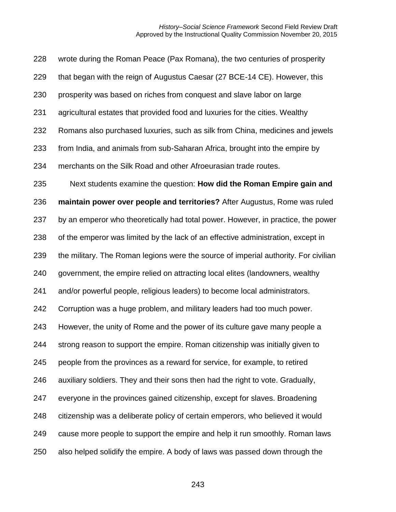wrote during the Roman Peace (Pax Romana), the two centuries of prosperity that began with the reign of Augustus Caesar (27 BCE-14 CE). However, this prosperity was based on riches from conquest and slave labor on large agricultural estates that provided food and luxuries for the cities. Wealthy Romans also purchased luxuries, such as silk from China, medicines and jewels from India, and animals from sub-Saharan Africa, brought into the empire by merchants on the Silk Road and other Afroeurasian trade routes. Next students examine the question: **How did the Roman Empire gain and maintain power over people and territories?** After Augustus, Rome was ruled by an emperor who theoretically had total power. However, in practice, the power of the emperor was limited by the lack of an effective administration, except in the military. The Roman legions were the source of imperial authority. For civilian government, the empire relied on attracting local elites (landowners, wealthy and/or powerful people, religious leaders) to become local administrators. Corruption was a huge problem, and military leaders had too much power. However, the unity of Rome and the power of its culture gave many people a strong reason to support the empire. Roman citizenship was initially given to people from the provinces as a reward for service, for example, to retired auxiliary soldiers. They and their sons then had the right to vote. Gradually, everyone in the provinces gained citizenship, except for slaves. Broadening citizenship was a deliberate policy of certain emperors, who believed it would cause more people to support the empire and help it run smoothly. Roman laws also helped solidify the empire. A body of laws was passed down through the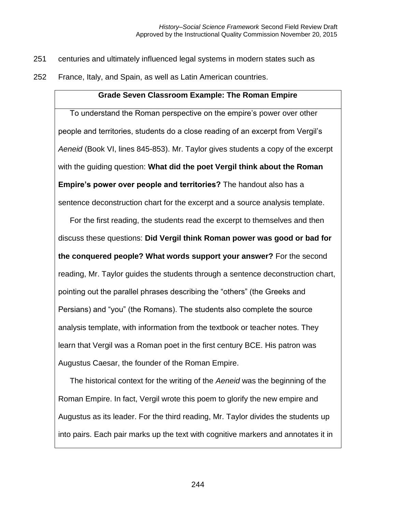- 251 centuries and ultimately influenced legal systems in modern states such as
- 252 France, Italy, and Spain, as well as Latin American countries.

## **Grade Seven Classroom Example: The Roman Empire**

To understand the Roman perspective on the empire's power over other people and territories, students do a close reading of an excerpt from Vergil's *Aeneid* (Book VI, lines 845-853). Mr. Taylor gives students a copy of the excerpt with the guiding question: **What did the poet Vergil think about the Roman Empire's power over people and territories?** The handout also has a sentence deconstruction chart for the excerpt and a source analysis template.

For the first reading, the students read the excerpt to themselves and then discuss these questions: **Did Vergil think Roman power was good or bad for the conquered people? What words support your answer?** For the second reading, Mr. Taylor guides the students through a sentence deconstruction chart, pointing out the parallel phrases describing the "others" (the Greeks and Persians) and "you" (the Romans). The students also complete the source analysis template, with information from the textbook or teacher notes. They learn that Vergil was a Roman poet in the first century BCE. His patron was Augustus Caesar, the founder of the Roman Empire.

The historical context for the writing of the *Aeneid* was the beginning of the Roman Empire. In fact, Vergil wrote this poem to glorify the new empire and Augustus as its leader. For the third reading, Mr. Taylor divides the students up into pairs. Each pair marks up the text with cognitive markers and annotates it in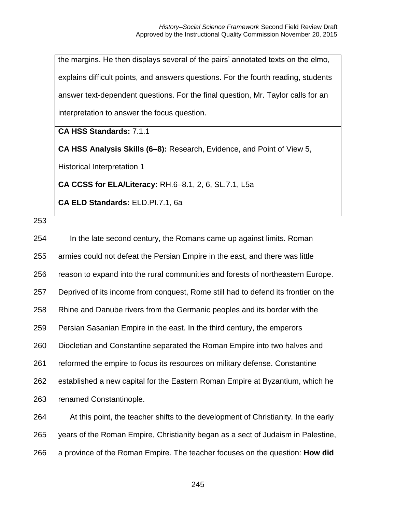the margins. He then displays several of the pairs' annotated texts on the elmo, explains difficult points, and answers questions. For the fourth reading, students answer text-dependent questions. For the final question, Mr. Taylor calls for an interpretation to answer the focus question.

# **CA HSS Standards:** 7.1.1

**CA HSS Analysis Skills (6–8):** Research, Evidence, and Point of View 5,

Historical Interpretation 1

**CA CCSS for ELA/Literacy:** RH.6–8.1, 2, 6, SL.7.1, L5a

**CA ELD Standards:** ELD.PI.7.1, 6a

| 254 | In the late second century, the Romans came up against limits. Roman               |
|-----|------------------------------------------------------------------------------------|
| 255 | armies could not defeat the Persian Empire in the east, and there was little       |
| 256 | reason to expand into the rural communities and forests of northeastern Europe.    |
| 257 | Deprived of its income from conquest, Rome still had to defend its frontier on the |
| 258 | Rhine and Danube rivers from the Germanic peoples and its border with the          |
| 259 | Persian Sasanian Empire in the east. In the third century, the emperors            |
| 260 | Diocletian and Constantine separated the Roman Empire into two halves and          |
| 261 | reformed the empire to focus its resources on military defense. Constantine        |
| 262 | established a new capital for the Eastern Roman Empire at Byzantium, which he      |
| 263 | renamed Constantinople.                                                            |
| 264 | At this point, the teacher shifts to the development of Christianity. In the early |
| 265 | years of the Roman Empire, Christianity began as a sect of Judaism in Palestine,   |
| 266 | a province of the Roman Empire. The teacher focuses on the question: How did       |
|     |                                                                                    |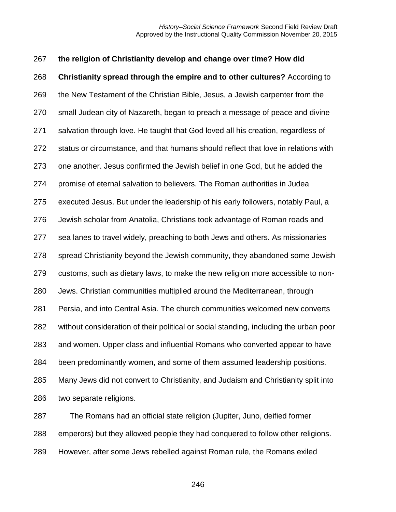**the religion of Christianity develop and change over time? How did Christianity spread through the empire and to other cultures?** According to the New Testament of the Christian Bible, Jesus, a Jewish carpenter from the small Judean city of Nazareth, began to preach a message of peace and divine salvation through love. He taught that God loved all his creation, regardless of status or circumstance, and that humans should reflect that love in relations with one another. Jesus confirmed the Jewish belief in one God, but he added the promise of eternal salvation to believers. The Roman authorities in Judea executed Jesus. But under the leadership of his early followers, notably Paul, a Jewish scholar from Anatolia, Christians took advantage of Roman roads and sea lanes to travel widely, preaching to both Jews and others. As missionaries spread Christianity beyond the Jewish community, they abandoned some Jewish customs, such as dietary laws, to make the new religion more accessible to non- Jews. Christian communities multiplied around the Mediterranean, through Persia, and into Central Asia. The church communities welcomed new converts without consideration of their political or social standing, including the urban poor and women. Upper class and influential Romans who converted appear to have been predominantly women, and some of them assumed leadership positions. Many Jews did not convert to Christianity, and Judaism and Christianity split into two separate religions. The Romans had an official state religion (Jupiter, Juno, deified former emperors) but they allowed people they had conquered to follow other religions.

However, after some Jews rebelled against Roman rule, the Romans exiled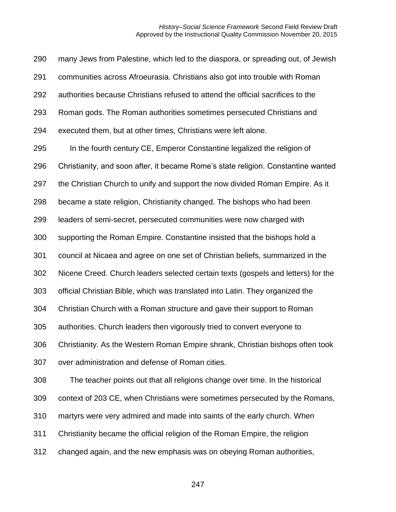many Jews from Palestine, which led to the diaspora, or spreading out, of Jewish communities across Afroeurasia. Christians also got into trouble with Roman authorities because Christians refused to attend the official sacrifices to the Roman gods. The Roman authorities sometimes persecuted Christians and executed them, but at other times, Christians were left alone. In the fourth century CE, Emperor Constantine legalized the religion of Christianity, and soon after, it became Rome's state religion. Constantine wanted 297 the Christian Church to unify and support the now divided Roman Empire. As it became a state religion, Christianity changed. The bishops who had been leaders of semi-secret, persecuted communities were now charged with supporting the Roman Empire. Constantine insisted that the bishops hold a council at Nicaea and agree on one set of Christian beliefs, summarized in the Nicene Creed. Church leaders selected certain texts (gospels and letters) for the official Christian Bible, which was translated into Latin. They organized the Christian Church with a Roman structure and gave their support to Roman authorities. Church leaders then vigorously tried to convert everyone to Christianity. As the Western Roman Empire shrank, Christian bishops often took over administration and defense of Roman cities. The teacher points out that all religions change over time. In the historical context of 203 CE, when Christians were sometimes persecuted by the Romans, martyrs were very admired and made into saints of the early church. When Christianity became the official religion of the Roman Empire, the religion changed again, and the new emphasis was on obeying Roman authorities,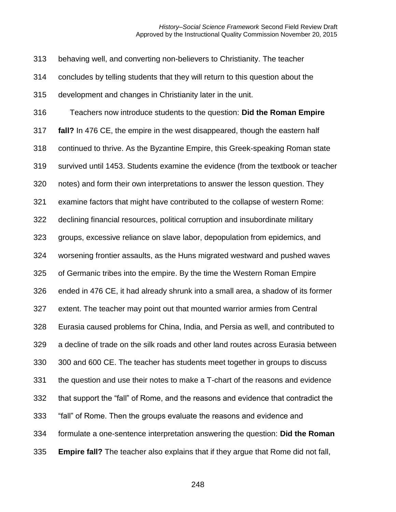behaving well, and converting non-believers to Christianity. The teacher

concludes by telling students that they will return to this question about the

development and changes in Christianity later in the unit.

 Teachers now introduce students to the question: **Did the Roman Empire fall?** In 476 CE, the empire in the west disappeared, though the eastern half continued to thrive. As the Byzantine Empire, this Greek-speaking Roman state survived until 1453. Students examine the evidence (from the textbook or teacher notes) and form their own interpretations to answer the lesson question. They examine factors that might have contributed to the collapse of western Rome: declining financial resources, political corruption and insubordinate military groups, excessive reliance on slave labor, depopulation from epidemics, and worsening frontier assaults, as the Huns migrated westward and pushed waves of Germanic tribes into the empire. By the time the Western Roman Empire ended in 476 CE, it had already shrunk into a small area, a shadow of its former extent. The teacher may point out that mounted warrior armies from Central Eurasia caused problems for China, India, and Persia as well, and contributed to a decline of trade on the silk roads and other land routes across Eurasia between 300 and 600 CE. The teacher has students meet together in groups to discuss the question and use their notes to make a T-chart of the reasons and evidence that support the "fall" of Rome, and the reasons and evidence that contradict the "fall" of Rome. Then the groups evaluate the reasons and evidence and formulate a one-sentence interpretation answering the question: **Did the Roman Empire fall?** The teacher also explains that if they argue that Rome did not fall,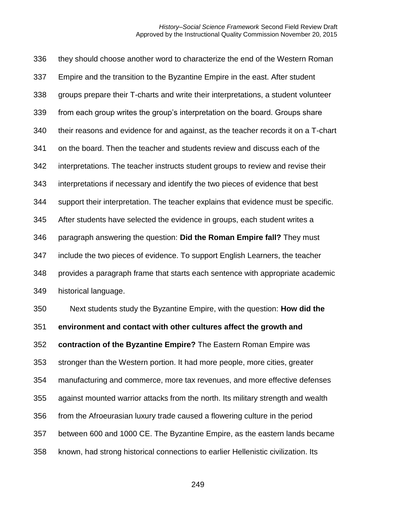they should choose another word to characterize the end of the Western Roman Empire and the transition to the Byzantine Empire in the east. After student groups prepare their T-charts and write their interpretations, a student volunteer from each group writes the group's interpretation on the board. Groups share their reasons and evidence for and against, as the teacher records it on a T-chart on the board. Then the teacher and students review and discuss each of the interpretations. The teacher instructs student groups to review and revise their interpretations if necessary and identify the two pieces of evidence that best support their interpretation. The teacher explains that evidence must be specific. After students have selected the evidence in groups, each student writes a paragraph answering the question: **Did the Roman Empire fall?** They must include the two pieces of evidence. To support English Learners, the teacher provides a paragraph frame that starts each sentence with appropriate academic historical language. Next students study the Byzantine Empire, with the question: **How did the environment and contact with other cultures affect the growth and contraction of the Byzantine Empire?** The Eastern Roman Empire was stronger than the Western portion. It had more people, more cities, greater

manufacturing and commerce, more tax revenues, and more effective defenses

against mounted warrior attacks from the north. Its military strength and wealth

from the Afroeurasian luxury trade caused a flowering culture in the period

between 600 and 1000 CE. The Byzantine Empire, as the eastern lands became

known, had strong historical connections to earlier Hellenistic civilization. Its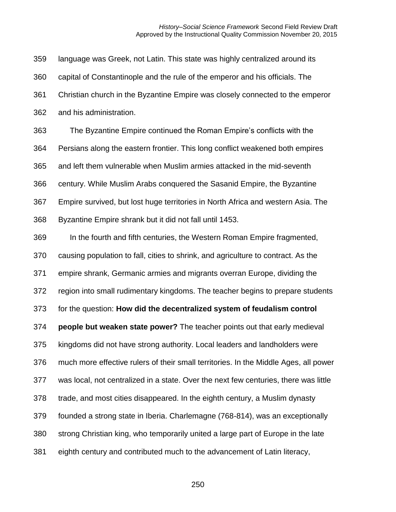language was Greek, not Latin. This state was highly centralized around its capital of Constantinople and the rule of the emperor and his officials. The Christian church in the Byzantine Empire was closely connected to the emperor and his administration. The Byzantine Empire continued the Roman Empire's conflicts with the Persians along the eastern frontier. This long conflict weakened both empires and left them vulnerable when Muslim armies attacked in the mid-seventh century. While Muslim Arabs conquered the Sasanid Empire, the Byzantine Empire survived, but lost huge territories in North Africa and western Asia. The Byzantine Empire shrank but it did not fall until 1453. In the fourth and fifth centuries, the Western Roman Empire fragmented, causing population to fall, cities to shrink, and agriculture to contract. As the empire shrank, Germanic armies and migrants overran Europe, dividing the region into small rudimentary kingdoms. The teacher begins to prepare students for the question: **How did the decentralized system of feudalism control people but weaken state power?** The teacher points out that early medieval kingdoms did not have strong authority. Local leaders and landholders were much more effective rulers of their small territories. In the Middle Ages, all power was local, not centralized in a state. Over the next few centuries, there was little trade, and most cities disappeared. In the eighth century, a Muslim dynasty founded a strong state in Iberia. Charlemagne (768-814), was an exceptionally strong Christian king, who temporarily united a large part of Europe in the late eighth century and contributed much to the advancement of Latin literacy,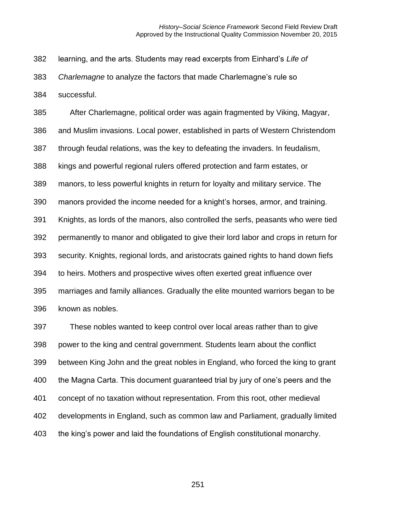learning, and the arts. Students may read excerpts from Einhard's *Life of* 

*Charlemagne* to analyze the factors that made Charlemagne's rule so

successful.

 After Charlemagne, political order was again fragmented by Viking, Magyar, and Muslim invasions. Local power, established in parts of Western Christendom through feudal relations, was the key to defeating the invaders. In feudalism, kings and powerful regional rulers offered protection and farm estates, or manors, to less powerful knights in return for loyalty and military service. The manors provided the income needed for a knight's horses, armor, and training. Knights, as lords of the manors, also controlled the serfs, peasants who were tied permanently to manor and obligated to give their lord labor and crops in return for security. Knights, regional lords, and aristocrats gained rights to hand down fiefs to heirs. Mothers and prospective wives often exerted great influence over marriages and family alliances. Gradually the elite mounted warriors began to be known as nobles.

 These nobles wanted to keep control over local areas rather than to give power to the king and central government. Students learn about the conflict between King John and the great nobles in England, who forced the king to grant the Magna Carta. This document guaranteed trial by jury of one's peers and the concept of no taxation without representation. From this root, other medieval developments in England, such as common law and Parliament, gradually limited the king's power and laid the foundations of English constitutional monarchy.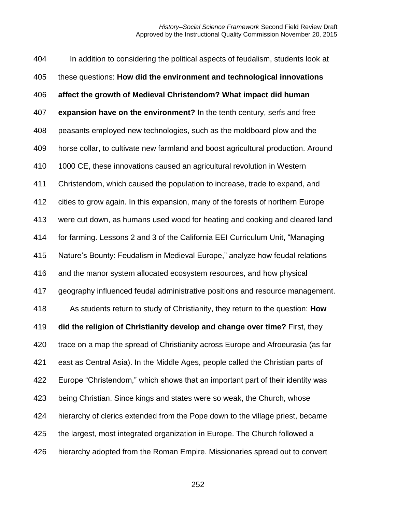In addition to considering the political aspects of feudalism, students look at these questions: **How did the environment and technological innovations affect the growth of Medieval Christendom? What impact did human expansion have on the environment?** In the tenth century, serfs and free peasants employed new technologies, such as the moldboard plow and the horse collar, to cultivate new farmland and boost agricultural production. Around 1000 CE, these innovations caused an agricultural revolution in Western Christendom, which caused the population to increase, trade to expand, and cities to grow again. In this expansion, many of the forests of northern Europe were cut down, as humans used wood for heating and cooking and cleared land for farming. Lessons 2 and 3 of the California EEI Curriculum Unit, "Managing Nature's Bounty: Feudalism in Medieval Europe," analyze how feudal relations and the manor system allocated ecosystem resources, and how physical geography influenced feudal administrative positions and resource management. As students return to study of Christianity, they return to the question: **How did the religion of Christianity develop and change over time?** First, they trace on a map the spread of Christianity across Europe and Afroeurasia (as far east as Central Asia). In the Middle Ages, people called the Christian parts of Europe "Christendom," which shows that an important part of their identity was being Christian. Since kings and states were so weak, the Church, whose hierarchy of clerics extended from the Pope down to the village priest, became the largest, most integrated organization in Europe. The Church followed a hierarchy adopted from the Roman Empire. Missionaries spread out to convert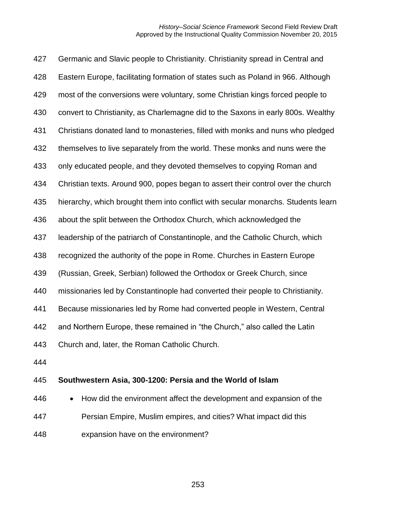Germanic and Slavic people to Christianity. Christianity spread in Central and Eastern Europe, facilitating formation of states such as Poland in 966. Although most of the conversions were voluntary, some Christian kings forced people to convert to Christianity, as Charlemagne did to the Saxons in early 800s. Wealthy Christians donated land to monasteries, filled with monks and nuns who pledged themselves to live separately from the world. These monks and nuns were the only educated people, and they devoted themselves to copying Roman and Christian texts. Around 900, popes began to assert their control over the church hierarchy, which brought them into conflict with secular monarchs. Students learn about the split between the Orthodox Church, which acknowledged the leadership of the patriarch of Constantinople, and the Catholic Church, which recognized the authority of the pope in Rome. Churches in Eastern Europe (Russian, Greek, Serbian) followed the Orthodox or Greek Church, since missionaries led by Constantinople had converted their people to Christianity. Because missionaries led by Rome had converted people in Western, Central and Northern Europe, these remained in "the Church," also called the Latin Church and, later, the Roman Catholic Church.

### **Southwestern Asia, 300-1200: Persia and the World of Islam**

 • How did the environment affect the development and expansion of the Persian Empire, Muslim empires, and cities? What impact did this expansion have on the environment?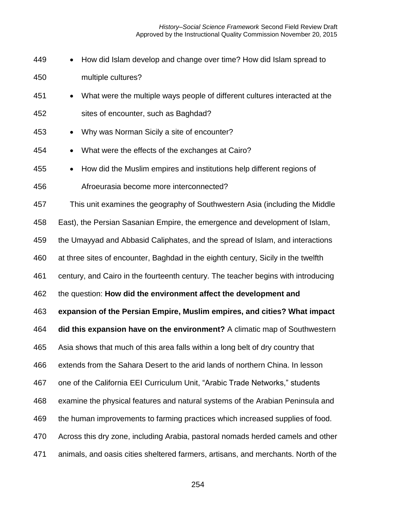*History–Social Science Framework* Second Field Review Draft Approved by the Instructional Quality Commission November 20, 2015

| 449 | How did Islam develop and change over time? How did Islam spread to<br>$\bullet$        |
|-----|-----------------------------------------------------------------------------------------|
| 450 | multiple cultures?                                                                      |
| 451 | What were the multiple ways people of different cultures interacted at the<br>$\bullet$ |
| 452 | sites of encounter, such as Baghdad?                                                    |
| 453 | Why was Norman Sicily a site of encounter?<br>$\bullet$                                 |
| 454 | What were the effects of the exchanges at Cairo?<br>$\bullet$                           |
| 455 | How did the Muslim empires and institutions help different regions of<br>$\bullet$      |
| 456 | Afroeurasia become more interconnected?                                                 |
| 457 | This unit examines the geography of Southwestern Asia (including the Middle             |
| 458 | East), the Persian Sasanian Empire, the emergence and development of Islam,             |
| 459 | the Umayyad and Abbasid Caliphates, and the spread of Islam, and interactions           |
| 460 | at three sites of encounter, Baghdad in the eighth century, Sicily in the twelfth       |
| 461 | century, and Cairo in the fourteenth century. The teacher begins with introducing       |
| 462 | the question: How did the environment affect the development and                        |
| 463 | expansion of the Persian Empire, Muslim empires, and cities? What impact                |
| 464 | did this expansion have on the environment? A climatic map of Southwestern              |
| 465 | Asia shows that much of this area falls within a long belt of dry country that          |
| 466 | extends from the Sahara Desert to the arid lands of northern China. In lesson           |
| 467 | one of the California EEI Curriculum Unit, "Arabic Trade Networks," students            |
| 468 | examine the physical features and natural systems of the Arabian Peninsula and          |
| 469 | the human improvements to farming practices which increased supplies of food.           |
| 470 | Across this dry zone, including Arabia, pastoral nomads herded camels and other         |
| 471 | animals, and oasis cities sheltered farmers, artisans, and merchants. North of the      |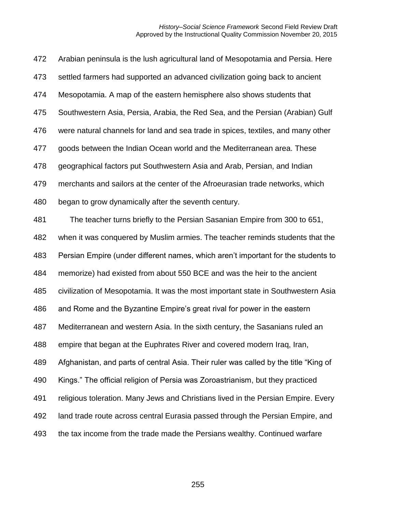Arabian peninsula is the lush agricultural land of Mesopotamia and Persia. Here settled farmers had supported an advanced civilization going back to ancient Mesopotamia. A map of the eastern hemisphere also shows students that Southwestern Asia, Persia, Arabia, the Red Sea, and the Persian (Arabian) Gulf were natural channels for land and sea trade in spices, textiles, and many other goods between the Indian Ocean world and the Mediterranean area. These geographical factors put Southwestern Asia and Arab, Persian, and Indian merchants and sailors at the center of the Afroeurasian trade networks, which began to grow dynamically after the seventh century. The teacher turns briefly to the Persian Sasanian Empire from 300 to 651, when it was conquered by Muslim armies. The teacher reminds students that the Persian Empire (under different names, which aren't important for the students to memorize) had existed from about 550 BCE and was the heir to the ancient civilization of Mesopotamia. It was the most important state in Southwestern Asia and Rome and the Byzantine Empire's great rival for power in the eastern Mediterranean and western Asia. In the sixth century, the Sasanians ruled an empire that began at the Euphrates River and covered modern Iraq, Iran, Afghanistan, and parts of central Asia. Their ruler was called by the title "King of Kings." The official religion of Persia was Zoroastrianism, but they practiced religious toleration. Many Jews and Christians lived in the Persian Empire. Every land trade route across central Eurasia passed through the Persian Empire, and the tax income from the trade made the Persians wealthy. Continued warfare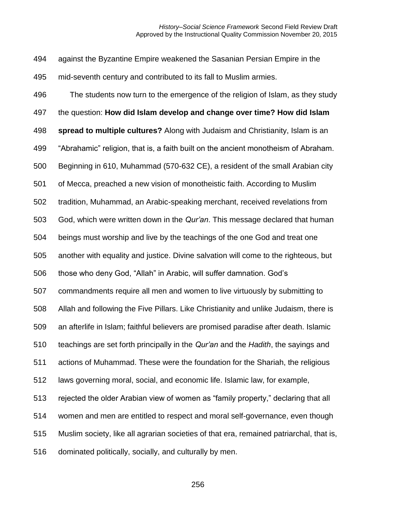against the Byzantine Empire weakened the Sasanian Persian Empire in the mid-seventh century and contributed to its fall to Muslim armies.

 The students now turn to the emergence of the religion of Islam, as they study the question: **How did Islam develop and change over time? How did Islam spread to multiple cultures?** Along with Judaism and Christianity, Islam is an "Abrahamic" religion, that is, a faith built on the ancient monotheism of Abraham. Beginning in 610, Muhammad (570-632 CE), a resident of the small Arabian city of Mecca, preached a new vision of monotheistic faith. According to Muslim tradition, Muhammad, an Arabic-speaking merchant, received revelations from God, which were written down in the *Qur'an*. This message declared that human beings must worship and live by the teachings of the one God and treat one another with equality and justice. Divine salvation will come to the righteous, but those who deny God, "Allah" in Arabic, will suffer damnation. God's commandments require all men and women to live virtuously by submitting to Allah and following the Five Pillars. Like Christianity and unlike Judaism, there is an afterlife in Islam; faithful believers are promised paradise after death. Islamic teachings are set forth principally in the *Qur'an* and the *Hadith*, the sayings and actions of Muhammad. These were the foundation for the Shariah, the religious laws governing moral, social, and economic life. Islamic law, for example, rejected the older Arabian view of women as "family property," declaring that all women and men are entitled to respect and moral self-governance, even though Muslim society, like all agrarian societies of that era, remained patriarchal, that is, dominated politically, socially, and culturally by men.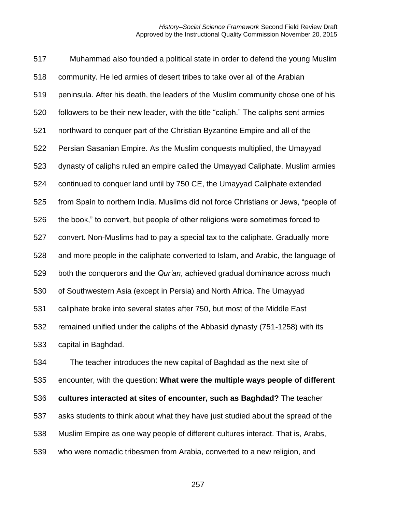Muhammad also founded a political state in order to defend the young Muslim community. He led armies of desert tribes to take over all of the Arabian peninsula. After his death, the leaders of the Muslim community chose one of his followers to be their new leader, with the title "caliph." The caliphs sent armies northward to conquer part of the Christian Byzantine Empire and all of the Persian Sasanian Empire. As the Muslim conquests multiplied, the Umayyad dynasty of caliphs ruled an empire called the Umayyad Caliphate. Muslim armies continued to conquer land until by 750 CE, the Umayyad Caliphate extended from Spain to northern India. Muslims did not force Christians or Jews, "people of the book," to convert, but people of other religions were sometimes forced to convert. Non-Muslims had to pay a special tax to the caliphate. Gradually more and more people in the caliphate converted to Islam, and Arabic, the language of both the conquerors and the *Qur'an*, achieved gradual dominance across much of Southwestern Asia (except in Persia) and North Africa. The Umayyad caliphate broke into several states after 750, but most of the Middle East remained unified under the caliphs of the Abbasid dynasty (751-1258) with its capital in Baghdad. The teacher introduces the new capital of Baghdad as the next site of encounter, with the question: **What were the multiple ways people of different** 

**cultures interacted at sites of encounter, such as Baghdad?** The teacher

asks students to think about what they have just studied about the spread of the

Muslim Empire as one way people of different cultures interact. That is, Arabs,

who were nomadic tribesmen from Arabia, converted to a new religion, and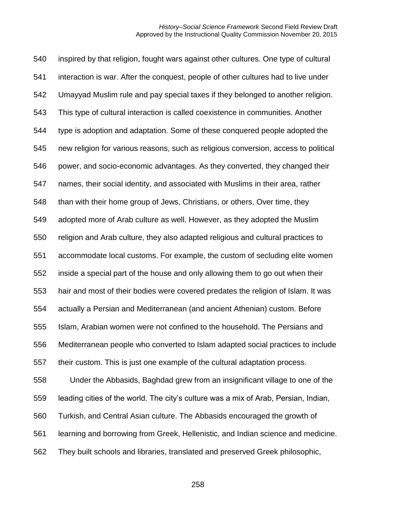inspired by that religion, fought wars against other cultures. One type of cultural interaction is war. After the conquest, people of other cultures had to live under Umayyad Muslim rule and pay special taxes if they belonged to another religion. This type of cultural interaction is called coexistence in communities. Another type is adoption and adaptation. Some of these conquered people adopted the new religion for various reasons, such as religious conversion, access to political power, and socio-economic advantages. As they converted, they changed their names, their social identity, and associated with Muslims in their area, rather than with their home group of Jews, Christians, or others. Over time, they adopted more of Arab culture as well. However, as they adopted the Muslim religion and Arab culture, they also adapted religious and cultural practices to accommodate local customs. For example, the custom of secluding elite women inside a special part of the house and only allowing them to go out when their hair and most of their bodies were covered predates the religion of Islam. It was actually a Persian and Mediterranean (and ancient Athenian) custom. Before Islam, Arabian women were not confined to the household. The Persians and Mediterranean people who converted to Islam adapted social practices to include their custom. This is just one example of the cultural adaptation process. Under the Abbasids, Baghdad grew from an insignificant village to one of the leading cities of the world. The city's culture was a mix of Arab, Persian, Indian, Turkish, and Central Asian culture. The Abbasids encouraged the growth of learning and borrowing from Greek, Hellenistic, and Indian science and medicine. They built schools and libraries, translated and preserved Greek philosophic,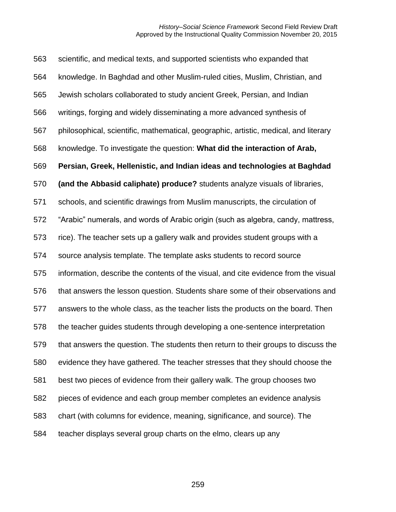scientific, and medical texts, and supported scientists who expanded that knowledge. In Baghdad and other Muslim-ruled cities, Muslim, Christian, and Jewish scholars collaborated to study ancient Greek, Persian, and Indian writings, forging and widely disseminating a more advanced synthesis of philosophical, scientific, mathematical, geographic, artistic, medical, and literary knowledge. To investigate the question: **What did the interaction of Arab, Persian, Greek, Hellenistic, and Indian ideas and technologies at Baghdad (and the Abbasid caliphate) produce?** students analyze visuals of libraries, schools, and scientific drawings from Muslim manuscripts, the circulation of "Arabic" numerals, and words of Arabic origin (such as algebra, candy, mattress, rice). The teacher sets up a gallery walk and provides student groups with a source analysis template. The template asks students to record source information, describe the contents of the visual, and cite evidence from the visual that answers the lesson question. Students share some of their observations and answers to the whole class, as the teacher lists the products on the board. Then the teacher guides students through developing a one-sentence interpretation that answers the question. The students then return to their groups to discuss the evidence they have gathered. The teacher stresses that they should choose the best two pieces of evidence from their gallery walk. The group chooses two pieces of evidence and each group member completes an evidence analysis chart (with columns for evidence, meaning, significance, and source). The teacher displays several group charts on the elmo, clears up any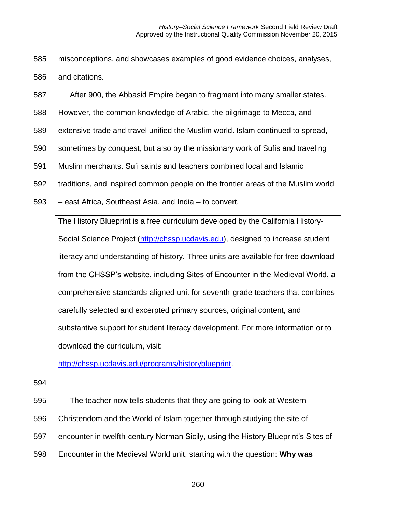- 585 misconceptions, and showcases examples of good evidence choices, analyses, 586 and citations.
- 587 After 900, the Abbasid Empire began to fragment into many smaller states.
- 588 However, the common knowledge of Arabic, the pilgrimage to Mecca, and
- 589 extensive trade and travel unified the Muslim world. Islam continued to spread,
- 590 sometimes by conquest, but also by the missionary work of Sufis and traveling
- 591 Muslim merchants. Sufi saints and teachers combined local and Islamic
- 592 traditions, and inspired common people on the frontier areas of the Muslim world
- 593 east Africa, Southeast Asia, and India to convert.

The History Blueprint is a free curriculum developed by the California History-Social Science Project [\(http://chssp.ucdavis.edu\)](http://chssp.ucdavis.edu/), designed to increase student literacy and understanding of history. Three units are available for free download from the CHSSP's website, including Sites of Encounter in the Medieval World, a comprehensive standards-aligned unit for seventh-grade teachers that combines carefully selected and excerpted primary sources, original content, and substantive support for student literacy development. For more information or to download the curriculum, visit:

[http://chssp.ucdavis.edu/programs/historyblueprint.](http://chssp.ucdavis.edu/programs/historyblueprint)

- 595 The teacher now tells students that they are going to look at Western
- 596 Christendom and the World of Islam together through studying the site of
- 597 encounter in twelfth-century Norman Sicily, using the History Blueprint's Sites of
- 598 Encounter in the Medieval World unit, starting with the question: **Why was**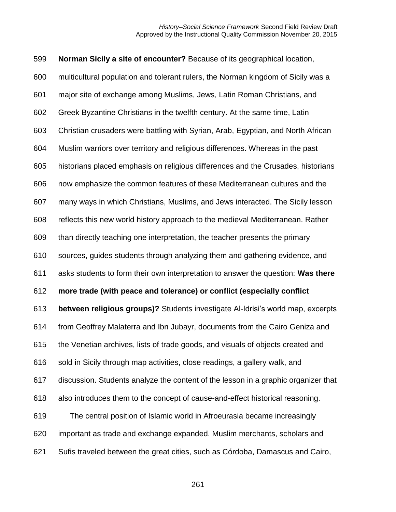**Norman Sicily a site of encounter?** Because of its geographical location, multicultural population and tolerant rulers, the Norman kingdom of Sicily was a major site of exchange among Muslims, Jews, Latin Roman Christians, and Greek Byzantine Christians in the twelfth century. At the same time, Latin Christian crusaders were battling with Syrian, Arab, Egyptian, and North African Muslim warriors over territory and religious differences. Whereas in the past historians placed emphasis on religious differences and the Crusades, historians now emphasize the common features of these Mediterranean cultures and the many ways in which Christians, Muslims, and Jews interacted. The Sicily lesson reflects this new world history approach to the medieval Mediterranean. Rather than directly teaching one interpretation, the teacher presents the primary sources, guides students through analyzing them and gathering evidence, and asks students to form their own interpretation to answer the question: **Was there more trade (with peace and tolerance) or conflict (especially conflict between religious groups)?** Students investigate Al-Idrisi's world map, excerpts from Geoffrey Malaterra and Ibn Jubayr, documents from the Cairo Geniza and the Venetian archives, lists of trade goods, and visuals of objects created and sold in Sicily through map activities, close readings, a gallery walk, and discussion. Students analyze the content of the lesson in a graphic organizer that also introduces them to the concept of cause-and-effect historical reasoning. The central position of Islamic world in Afroeurasia became increasingly important as trade and exchange expanded. Muslim merchants, scholars and Sufis traveled between the great cities, such as Córdoba, Damascus and Cairo,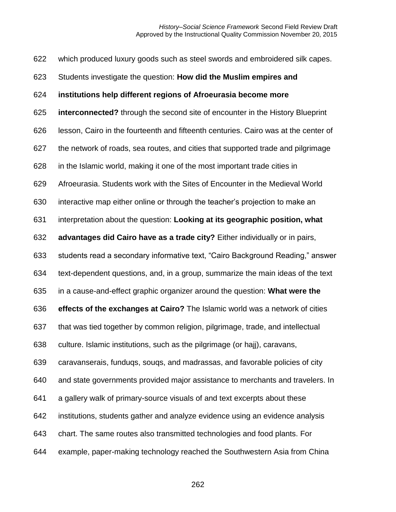which produced luxury goods such as steel swords and embroidered silk capes.

Students investigate the question: **How did the Muslim empires and** 

#### **institutions help different regions of Afroeurasia become more**

**interconnected?** through the second site of encounter in the History Blueprint

lesson, Cairo in the fourteenth and fifteenth centuries. Cairo was at the center of

the network of roads, sea routes, and cities that supported trade and pilgrimage

in the Islamic world, making it one of the most important trade cities in

Afroeurasia. Students work with the Sites of Encounter in the Medieval World

interactive map either online or through the teacher's projection to make an

interpretation about the question: **Looking at its geographic position, what** 

**advantages did Cairo have as a trade city?** Either individually or in pairs,

students read a secondary informative text, "Cairo Background Reading," answer

text-dependent questions, and, in a group, summarize the main ideas of the text

in a cause-and-effect graphic organizer around the question: **What were the** 

**effects of the exchanges at Cairo?** The Islamic world was a network of cities

that was tied together by common religion, pilgrimage, trade, and intellectual

culture. Islamic institutions, such as the pilgrimage (or hajj), caravans,

caravanserais, funduqs, souqs, and madrassas, and favorable policies of city

and state governments provided major assistance to merchants and travelers. In

a gallery walk of primary-source visuals of and text excerpts about these

institutions, students gather and analyze evidence using an evidence analysis

chart. The same routes also transmitted technologies and food plants. For

example, paper-making technology reached the Southwestern Asia from China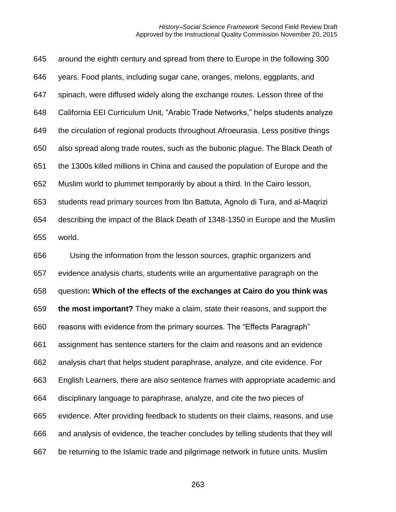around the eighth century and spread from there to Europe in the following 300 years. Food plants, including sugar cane, oranges, melons, eggplants, and spinach, were diffused widely along the exchange routes. Lesson three of the California EEI Curriculum Unit, "Arabic Trade Networks," helps students analyze the circulation of regional products throughout Afroeurasia. Less positive things also spread along trade routes, such as the bubonic plague. The Black Death of the 1300s killed millions in China and caused the population of Europe and the Muslim world to plummet temporarily by about a third. In the Cairo lesson, students read primary sources from Ibn Battuta, Agnolo di Tura, and al-Maqrizi describing the impact of the Black Death of 1348-1350 in Europe and the Muslim world. Using the information from the lesson sources, graphic organizers and evidence analysis charts, students write an argumentative paragraph on the question**: Which of the effects of the exchanges at Cairo do you think was the most important?** They make a claim, state their reasons, and support the reasons with evidence from the primary sources. The "Effects Paragraph" assignment has sentence starters for the claim and reasons and an evidence analysis chart that helps student paraphrase, analyze, and cite evidence. For English Learners, there are also sentence frames with appropriate academic and disciplinary language to paraphrase, analyze, and cite the two pieces of evidence. After providing feedback to students on their claims, reasons, and use

and analysis of evidence, the teacher concludes by telling students that they will

be returning to the Islamic trade and pilgrimage network in future units. Muslim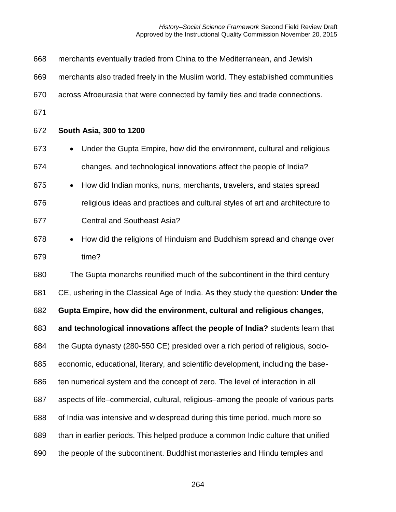*History–Social Science Framework* Second Field Review Draft Approved by the Instructional Quality Commission November 20, 2015

| 668 | merchants eventually traded from China to the Mediterranean, and Jewish              |
|-----|--------------------------------------------------------------------------------------|
| 669 | merchants also traded freely in the Muslim world. They established communities       |
| 670 | across Afroeurasia that were connected by family ties and trade connections.         |
| 671 |                                                                                      |
| 672 | South Asia, 300 to 1200                                                              |
| 673 | Under the Gupta Empire, how did the environment, cultural and religious<br>$\bullet$ |
| 674 | changes, and technological innovations affect the people of India?                   |
| 675 | How did Indian monks, nuns, merchants, travelers, and states spread<br>$\bullet$     |
| 676 | religious ideas and practices and cultural styles of art and architecture to         |
| 677 | <b>Central and Southeast Asia?</b>                                                   |
| 678 | How did the religions of Hinduism and Buddhism spread and change over<br>$\bullet$   |
| 679 | time?                                                                                |
| 680 | The Gupta monarchs reunified much of the subcontinent in the third century           |
| 681 | CE, ushering in the Classical Age of India. As they study the question: Under the    |
| 682 | Gupta Empire, how did the environment, cultural and religious changes,               |
| 683 | and technological innovations affect the people of India? students learn that        |
| 684 | the Gupta dynasty (280-550 CE) presided over a rich period of religious, socio-      |
| 685 | economic, educational, literary, and scientific development, including the base-     |
| 686 | ten numerical system and the concept of zero. The level of interaction in all        |
| 687 | aspects of life–commercial, cultural, religious–among the people of various parts    |
| 688 | of India was intensive and widespread during this time period, much more so          |
| 689 | than in earlier periods. This helped produce a common Indic culture that unified     |
| 690 | the people of the subcontinent. Buddhist monasteries and Hindu temples and           |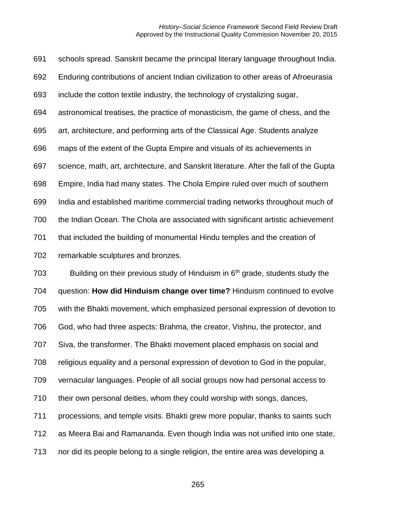schools spread. Sanskrit became the principal literary language throughout India. Enduring contributions of ancient Indian civilization to other areas of Afroeurasia include the cotton textile industry, the technology of crystalizing sugar, astronomical treatises, the practice of monasticism, the game of chess, and the art, architecture, and performing arts of the Classical Age. Students analyze maps of the extent of the Gupta Empire and visuals of its achievements in science, math, art, architecture, and Sanskrit literature. After the fall of the Gupta Empire, India had many states. The Chola Empire ruled over much of southern India and established maritime commercial trading networks throughout much of the Indian Ocean. The Chola are associated with significant artistic achievement that included the building of monumental Hindu temples and the creation of remarkable sculptures and bronzes.

703 Building on their previous study of Hinduism in  $6<sup>th</sup>$  grade, students study the question: **How did Hinduism change over time?** Hinduism continued to evolve with the Bhakti movement, which emphasized personal expression of devotion to God, who had three aspects: Brahma, the creator, Vishnu, the protector, and Siva, the transformer. The Bhakti movement placed emphasis on social and religious equality and a personal expression of devotion to God in the popular, vernacular languages. People of all social groups now had personal access to their own personal deities, whom they could worship with songs, dances, processions, and temple visits. Bhakti grew more popular, thanks to saints such as Meera Bai and Ramananda. Even though India was not unified into one state, nor did its people belong to a single religion, the entire area was developing a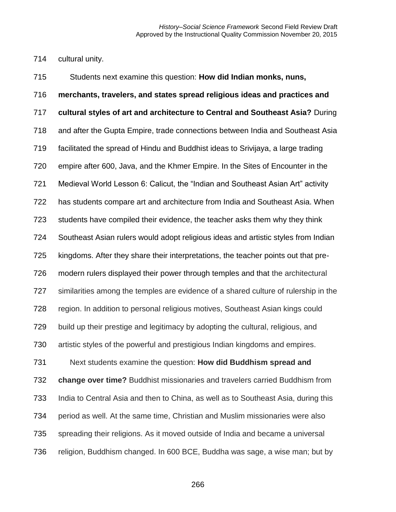cultural unity.

 Students next examine this question: **How did Indian monks, nuns, merchants, travelers, and states spread religious ideas and practices and cultural styles of art and architecture to Central and Southeast Asia?** During and after the Gupta Empire, trade connections between India and Southeast Asia facilitated the spread of Hindu and Buddhist ideas to Srivijaya, a large trading empire after 600, Java, and the Khmer Empire. In the Sites of Encounter in the Medieval World Lesson 6: Calicut, the "Indian and Southeast Asian Art" activity has students compare art and architecture from India and Southeast Asia. When students have compiled their evidence, the teacher asks them why they think Southeast Asian rulers would adopt religious ideas and artistic styles from Indian kingdoms. After they share their interpretations, the teacher points out that pre- modern rulers displayed their power through temples and that the architectural similarities among the temples are evidence of a shared culture of rulership in the region. In addition to personal religious motives, Southeast Asian kings could build up their prestige and legitimacy by adopting the cultural, religious, and artistic styles of the powerful and prestigious Indian kingdoms and empires. Next students examine the question: **How did Buddhism spread and change over time?** Buddhist missionaries and travelers carried Buddhism from India to Central Asia and then to China, as well as to Southeast Asia, during this period as well. At the same time, Christian and Muslim missionaries were also spreading their religions. As it moved outside of India and became a universal religion, Buddhism changed. In 600 BCE, Buddha was sage, a wise man; but by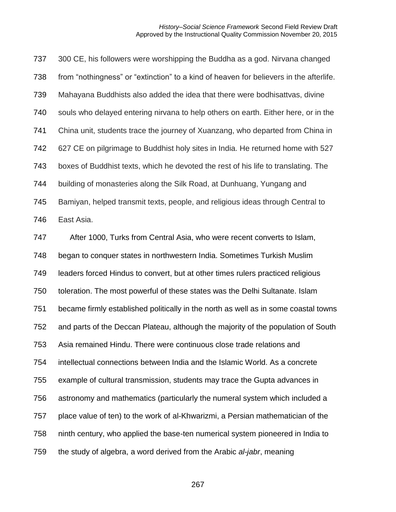300 CE, his followers were worshipping the Buddha as a god. Nirvana changed from "nothingness" or "extinction" to a kind of heaven for believers in the afterlife. Mahayana Buddhists also added the idea that there were bodhisattvas, divine souls who delayed entering nirvana to help others on earth. Either here, or in the China unit, students trace the journey of Xuanzang, who departed from China in 627 CE on pilgrimage to Buddhist holy sites in India. He returned home with 527 boxes of Buddhist texts, which he devoted the rest of his life to translating. The building of monasteries along the Silk Road, at Dunhuang, Yungang and Bamiyan, helped transmit texts, people, and religious ideas through Central to East Asia.

 After 1000, Turks from Central Asia, who were recent converts to Islam, began to conquer states in northwestern India. Sometimes Turkish Muslim leaders forced Hindus to convert, but at other times rulers practiced religious toleration. The most powerful of these states was the Delhi Sultanate. Islam became firmly established politically in the north as well as in some coastal towns and parts of the Deccan Plateau, although the majority of the population of South Asia remained Hindu. There were continuous close trade relations and intellectual connections between India and the Islamic World. As a concrete example of cultural transmission, students may trace the Gupta advances in astronomy and mathematics (particularly the numeral system which included a place value of ten) to the work of al-Khwarizmi, a Persian mathematician of the ninth century, who applied the base-ten numerical system pioneered in India to the study of algebra, a word derived from the Arabic *al-jabr*, meaning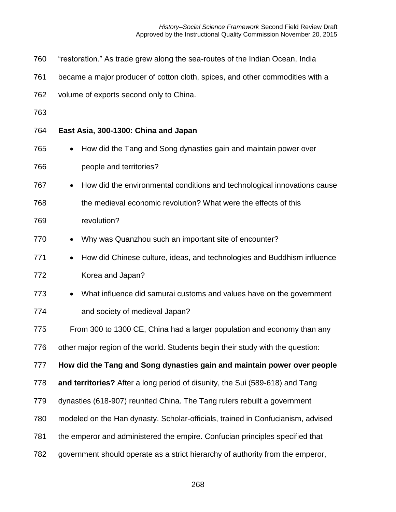*History–Social Science Framework* Second Field Review Draft Approved by the Instructional Quality Commission November 20, 2015

- "restoration." As trade grew along the sea-routes of the Indian Ocean, India
- became a major producer of cotton cloth, spices, and other commodities with a
- volume of exports second only to China.
- 

#### **East Asia, 300-1300: China and Japan**

- How did the Tang and Song dynasties gain and maintain power over people and territories?
- How did the environmental conditions and technological innovations cause
- the medieval economic revolution? What were the effects of this
- revolution?
- 770 Why was Quanzhou such an important site of encounter?
- 771 How did Chinese culture, ideas, and technologies and Buddhism influence Korea and Japan?
- What influence did samurai customs and values have on the government and society of medieval Japan?
- From 300 to 1300 CE, China had a larger population and economy than any
- other major region of the world. Students begin their study with the question:

**How did the Tang and Song dynasties gain and maintain power over people** 

- **and territories?** After a long period of disunity, the Sui (589-618) and Tang
- dynasties (618-907) reunited China. The Tang rulers rebuilt a government
- modeled on the Han dynasty. Scholar-officials, trained in Confucianism, advised
- the emperor and administered the empire. Confucian principles specified that
- government should operate as a strict hierarchy of authority from the emperor,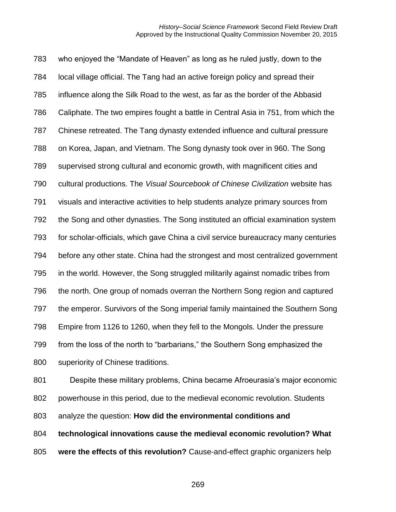who enjoyed the "Mandate of Heaven" as long as he ruled justly, down to the local village official. The Tang had an active foreign policy and spread their influence along the Silk Road to the west, as far as the border of the Abbasid Caliphate. The two empires fought a battle in Central Asia in 751, from which the Chinese retreated. The Tang dynasty extended influence and cultural pressure on Korea, Japan, and Vietnam. The Song dynasty took over in 960. The Song supervised strong cultural and economic growth, with magnificent cities and cultural productions. The *Visual Sourcebook of Chinese Civilization* website has visuals and interactive activities to help students analyze primary sources from the Song and other dynasties. The Song instituted an official examination system for scholar-officials, which gave China a civil service bureaucracy many centuries before any other state. China had the strongest and most centralized government in the world. However, the Song struggled militarily against nomadic tribes from the north. One group of nomads overran the Northern Song region and captured the emperor. Survivors of the Song imperial family maintained the Southern Song Empire from 1126 to 1260, when they fell to the Mongols. Under the pressure from the loss of the north to "barbarians," the Southern Song emphasized the superiority of Chinese traditions.

 Despite these military problems, China became Afroeurasia's major economic powerhouse in this period, due to the medieval economic revolution. Students analyze the question: **How did the environmental conditions and technological innovations cause the medieval economic revolution? What** 

**were the effects of this revolution?** Cause-and-effect graphic organizers help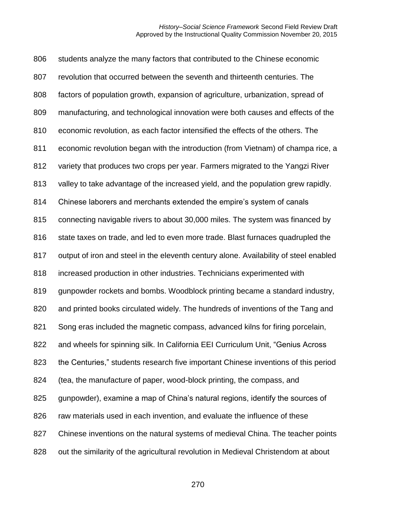students analyze the many factors that contributed to the Chinese economic revolution that occurred between the seventh and thirteenth centuries. The factors of population growth, expansion of agriculture, urbanization, spread of manufacturing, and technological innovation were both causes and effects of the economic revolution, as each factor intensified the effects of the others. The economic revolution began with the introduction (from Vietnam) of champa rice, a variety that produces two crops per year. Farmers migrated to the Yangzi River valley to take advantage of the increased yield, and the population grew rapidly. Chinese laborers and merchants extended the empire's system of canals connecting navigable rivers to about 30,000 miles. The system was financed by 816 state taxes on trade, and led to even more trade. Blast furnaces quadrupled the output of iron and steel in the eleventh century alone. Availability of steel enabled increased production in other industries. Technicians experimented with gunpowder rockets and bombs. Woodblock printing became a standard industry, and printed books circulated widely. The hundreds of inventions of the Tang and Song eras included the magnetic compass, advanced kilns for firing porcelain, and wheels for spinning silk. In California EEI Curriculum Unit, "Genius Across the Centuries," students research five important Chinese inventions of this period (tea, the manufacture of paper, wood-block printing, the compass, and gunpowder), examine a map of China's natural regions, identify the sources of 826 raw materials used in each invention, and evaluate the influence of these 827 Chinese inventions on the natural systems of medieval China. The teacher points out the similarity of the agricultural revolution in Medieval Christendom at about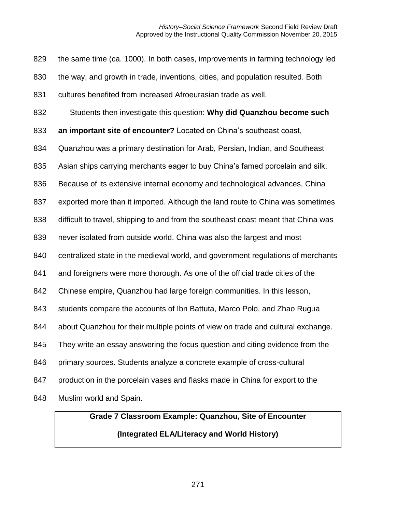the same time (ca. 1000). In both cases, improvements in farming technology led the way, and growth in trade, inventions, cities, and population resulted. Both cultures benefited from increased Afroeurasian trade as well. Students then investigate this question: **Why did Quanzhou become such an important site of encounter?** Located on China's southeast coast, Quanzhou was a primary destination for Arab, Persian, Indian, and Southeast Asian ships carrying merchants eager to buy China's famed porcelain and silk. Because of its extensive internal economy and technological advances, China exported more than it imported. Although the land route to China was sometimes difficult to travel, shipping to and from the southeast coast meant that China was never isolated from outside world. China was also the largest and most centralized state in the medieval world, and government regulations of merchants and foreigners were more thorough. As one of the official trade cities of the Chinese empire, Quanzhou had large foreign communities. In this lesson, students compare the accounts of Ibn Battuta, Marco Polo, and Zhao Rugua about Quanzhou for their multiple points of view on trade and cultural exchange. They write an essay answering the focus question and citing evidence from the primary sources. Students analyze a concrete example of cross-cultural production in the porcelain vases and flasks made in China for export to the Muslim world and Spain.

## **Grade 7 Classroom Example: Quanzhou, Site of Encounter (Integrated ELA/Literacy and World History)**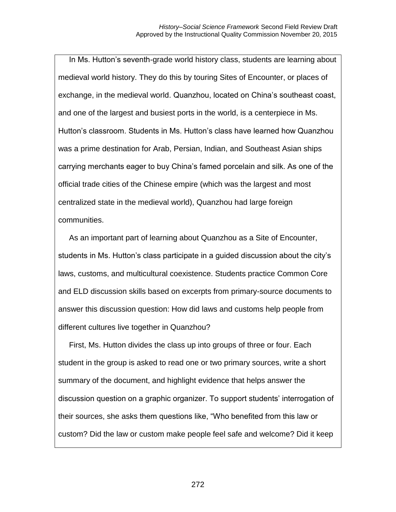In Ms. Hutton's seventh-grade world history class, students are learning about medieval world history. They do this by touring Sites of Encounter, or places of exchange, in the medieval world. Quanzhou, located on China's southeast coast, and one of the largest and busiest ports in the world, is a centerpiece in Ms. Hutton's classroom. Students in Ms. Hutton's class have learned how Quanzhou was a prime destination for Arab, Persian, Indian, and Southeast Asian ships carrying merchants eager to buy China's famed porcelain and silk. As one of the official trade cities of the Chinese empire (which was the largest and most centralized state in the medieval world), Quanzhou had large foreign communities.

As an important part of learning about Quanzhou as a Site of Encounter, students in Ms. Hutton's class participate in a guided discussion about the city's laws, customs, and multicultural coexistence. Students practice Common Core and ELD discussion skills based on excerpts from primary-source documents to answer this discussion question: How did laws and customs help people from different cultures live together in Quanzhou?

First, Ms. Hutton divides the class up into groups of three or four. Each student in the group is asked to read one or two primary sources, write a short summary of the document, and highlight evidence that helps answer the discussion question on a graphic organizer. To support students' interrogation of their sources, she asks them questions like, "Who benefited from this law or custom? Did the law or custom make people feel safe and welcome? Did it keep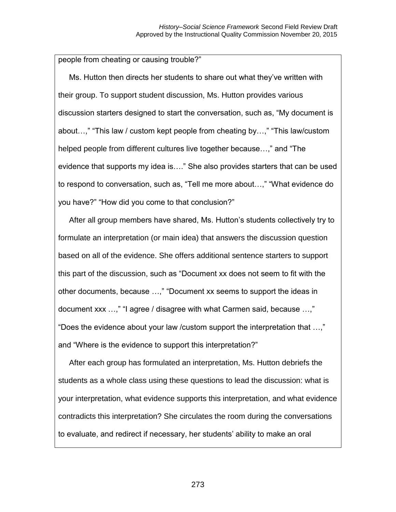people from cheating or causing trouble?"

Ms. Hutton then directs her students to share out what they've written with their group. To support student discussion, Ms. Hutton provides various discussion starters designed to start the conversation, such as, "My document is about…," "This law / custom kept people from cheating by…," "This law/custom helped people from different cultures live together because…," and "The evidence that supports my idea is…." She also provides starters that can be used to respond to conversation, such as, "Tell me more about…," "What evidence do you have?" "How did you come to that conclusion?"

After all group members have shared, Ms. Hutton's students collectively try to formulate an interpretation (or main idea) that answers the discussion question based on all of the evidence. She offers additional sentence starters to support this part of the discussion, such as "Document xx does not seem to fit with the other documents, because …," "Document xx seems to support the ideas in document xxx …," "I agree / disagree with what Carmen said, because …," "Does the evidence about your law /custom support the interpretation that …," and "Where is the evidence to support this interpretation?"

After each group has formulated an interpretation, Ms. Hutton debriefs the students as a whole class using these questions to lead the discussion: what is your interpretation, what evidence supports this interpretation, and what evidence contradicts this interpretation? She circulates the room during the conversations to evaluate, and redirect if necessary, her students' ability to make an oral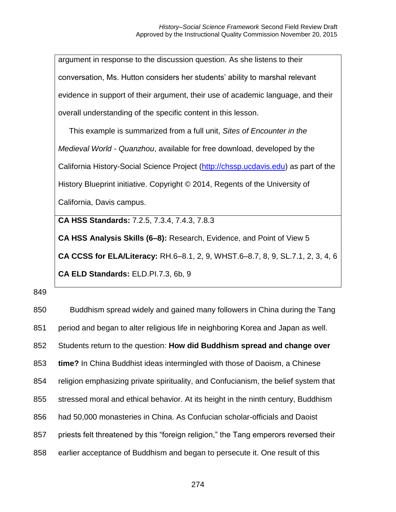argument in response to the discussion question. As she listens to their conversation, Ms. Hutton considers her students' ability to marshal relevant evidence in support of their argument, their use of academic language, and their overall understanding of the specific content in this lesson. This example is summarized from a full unit, *Sites of Encounter in the Medieval World - Quanzhou*, available for free download, developed by the California History-Social Science Project [\(http://chssp.ucdavis.edu\)](http://chssp.ucdavis.edu/) as part of the History Blueprint initiative. Copyright © 2014, Regents of the University of California, Davis campus. **CA HSS Standards:** 7.2.5, 7.3.4, 7.4.3, 7.8.3 **CA HSS Analysis Skills (6–8):** Research, Evidence, and Point of View 5 **CA CCSS for ELA/Literacy:** RH.6–8.1, 2, 9, WHST.6–8.7, 8, 9, SL.7.1, 2, 3, 4, 6

**CA ELD Standards:** ELD.PI.7.3, 6b, 9

849

 Buddhism spread widely and gained many followers in China during the Tang period and began to alter religious life in neighboring Korea and Japan as well. Students return to the question: **How did Buddhism spread and change over time?** In China Buddhist ideas intermingled with those of Daoism, a Chinese religion emphasizing private spirituality, and Confucianism, the belief system that stressed moral and ethical behavior. At its height in the ninth century, Buddhism had 50,000 monasteries in China. As Confucian scholar-officials and Daoist priests felt threatened by this "foreign religion," the Tang emperors reversed their earlier acceptance of Buddhism and began to persecute it. One result of this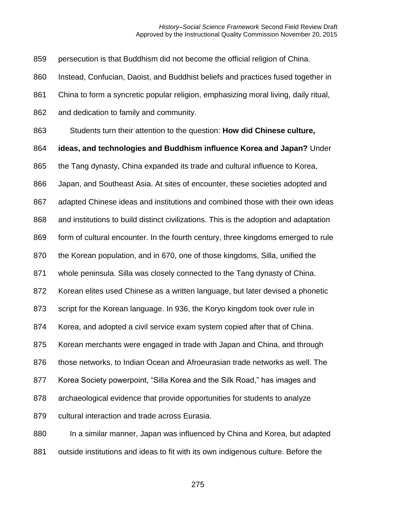persecution is that Buddhism did not become the official religion of China.

Instead, Confucian, Daoist, and Buddhist beliefs and practices fused together in

China to form a syncretic popular religion, emphasizing moral living, daily ritual,

and dedication to family and community.

Students turn their attention to the question: **How did Chinese culture,** 

**ideas, and technologies and Buddhism influence Korea and Japan?** Under

the Tang dynasty, China expanded its trade and cultural influence to Korea,

Japan, and Southeast Asia. At sites of encounter, these societies adopted and

adapted Chinese ideas and institutions and combined those with their own ideas

and institutions to build distinct civilizations. This is the adoption and adaptation

form of cultural encounter. In the fourth century, three kingdoms emerged to rule

the Korean population, and in 670, one of those kingdoms, Silla, unified the

whole peninsula. Silla was closely connected to the Tang dynasty of China.

Korean elites used Chinese as a written language, but later devised a phonetic

script for the Korean language. In 936, the Koryo kingdom took over rule in

Korea, and adopted a civil service exam system copied after that of China.

Korean merchants were engaged in trade with Japan and China, and through

those networks, to Indian Ocean and Afroeurasian trade networks as well. The

Korea Society powerpoint, "Silla Korea and the Silk Road," has images and

archaeological evidence that provide opportunities for students to analyze

cultural interaction and trade across Eurasia.

880 In a similar manner, Japan was influenced by China and Korea, but adapted 881 outside institutions and ideas to fit with its own indigenous culture. Before the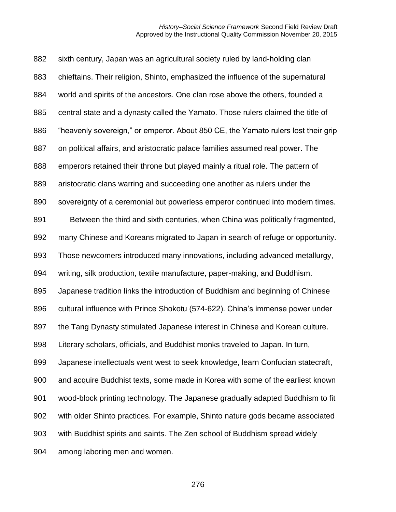sixth century, Japan was an agricultural society ruled by land-holding clan chieftains. Their religion, Shinto, emphasized the influence of the supernatural world and spirits of the ancestors. One clan rose above the others, founded a central state and a dynasty called the Yamato. Those rulers claimed the title of "heavenly sovereign," or emperor. About 850 CE, the Yamato rulers lost their grip on political affairs, and aristocratic palace families assumed real power. The emperors retained their throne but played mainly a ritual role. The pattern of aristocratic clans warring and succeeding one another as rulers under the sovereignty of a ceremonial but powerless emperor continued into modern times. Between the third and sixth centuries, when China was politically fragmented, many Chinese and Koreans migrated to Japan in search of refuge or opportunity. Those newcomers introduced many innovations, including advanced metallurgy, writing, silk production, textile manufacture, paper-making, and Buddhism. Japanese tradition links the introduction of Buddhism and beginning of Chinese cultural influence with Prince Shokotu (574-622). China's immense power under the Tang Dynasty stimulated Japanese interest in Chinese and Korean culture. Literary scholars, officials, and Buddhist monks traveled to Japan. In turn, Japanese intellectuals went west to seek knowledge, learn Confucian statecraft, and acquire Buddhist texts, some made in Korea with some of the earliest known wood-block printing technology. The Japanese gradually adapted Buddhism to fit with older Shinto practices. For example, Shinto nature gods became associated with Buddhist spirits and saints. The Zen school of Buddhism spread widely among laboring men and women.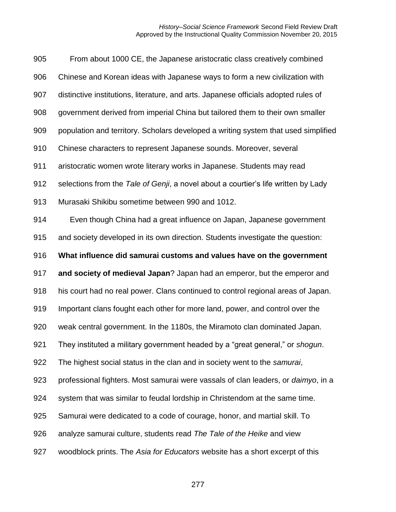| 905 | From about 1000 CE, the Japanese aristocratic class creatively combined                   |
|-----|-------------------------------------------------------------------------------------------|
| 906 | Chinese and Korean ideas with Japanese ways to form a new civilization with               |
| 907 | distinctive institutions, literature, and arts. Japanese officials adopted rules of       |
| 908 | government derived from imperial China but tailored them to their own smaller             |
| 909 | population and territory. Scholars developed a writing system that used simplified        |
| 910 | Chinese characters to represent Japanese sounds. Moreover, several                        |
| 911 | aristocratic women wrote literary works in Japanese. Students may read                    |
| 912 | selections from the Tale of Genji, a novel about a courtier's life written by Lady        |
| 913 | Murasaki Shikibu sometime between 990 and 1012.                                           |
| 914 | Even though China had a great influence on Japan, Japanese government                     |
| 915 | and society developed in its own direction. Students investigate the question:            |
| 916 | What influence did samurai customs and values have on the government                      |
| 917 | and society of medieval Japan? Japan had an emperor, but the emperor and                  |
| 918 | his court had no real power. Clans continued to control regional areas of Japan.          |
| 919 | Important clans fought each other for more land, power, and control over the              |
| 920 | weak central government. In the 1180s, the Miramoto clan dominated Japan.                 |
| 921 | They instituted a military government headed by a "great general," or shogun.             |
| 922 | The highest social status in the clan and in society went to the samurai,                 |
| 923 | professional fighters. Most samurai were vassals of clan leaders, or <i>daimyo</i> , in a |
| 924 | system that was similar to feudal lordship in Christendom at the same time.               |
| 925 | Samurai were dedicated to a code of courage, honor, and martial skill. To                 |
| 926 | analyze samurai culture, students read The Tale of the Heike and view                     |
| 927 | woodblock prints. The Asia for Educators website has a short excerpt of this              |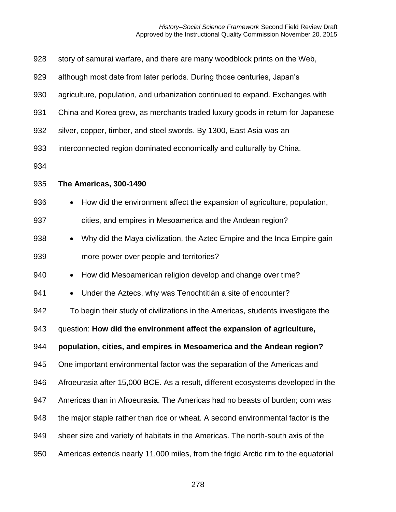## *History–Social Science Framework* Second Field Review Draft Approved by the Instructional Quality Commission November 20, 2015

| 928 | story of samurai warfare, and there are many woodblock prints on the Web,             |  |  |  |  |
|-----|---------------------------------------------------------------------------------------|--|--|--|--|
| 929 | although most date from later periods. During those centuries, Japan's                |  |  |  |  |
| 930 | agriculture, population, and urbanization continued to expand. Exchanges with         |  |  |  |  |
| 931 | China and Korea grew, as merchants traded luxury goods in return for Japanese         |  |  |  |  |
| 932 | silver, copper, timber, and steel swords. By 1300, East Asia was an                   |  |  |  |  |
| 933 | interconnected region dominated economically and culturally by China.                 |  |  |  |  |
| 934 |                                                                                       |  |  |  |  |
| 935 | The Americas, 300-1490                                                                |  |  |  |  |
| 936 | How did the environment affect the expansion of agriculture, population,<br>$\bullet$ |  |  |  |  |
| 937 | cities, and empires in Mesoamerica and the Andean region?                             |  |  |  |  |
| 938 | Why did the Maya civilization, the Aztec Empire and the Inca Empire gain<br>$\bullet$ |  |  |  |  |
| 939 | more power over people and territories?                                               |  |  |  |  |
| 940 | How did Mesoamerican religion develop and change over time?<br>$\bullet$              |  |  |  |  |
| 941 | Under the Aztecs, why was Tenochtitlán a site of encounter?<br>$\bullet$              |  |  |  |  |
| 942 | To begin their study of civilizations in the Americas, students investigate the       |  |  |  |  |
| 943 | question: How did the environment affect the expansion of agriculture,                |  |  |  |  |
| 944 | population, cities, and empires in Mesoamerica and the Andean region?                 |  |  |  |  |
| 945 | One important environmental factor was the separation of the Americas and             |  |  |  |  |
| 946 | Afroeurasia after 15,000 BCE. As a result, different ecosystems developed in the      |  |  |  |  |
| 947 | Americas than in Afroeurasia. The Americas had no beasts of burden; corn was          |  |  |  |  |
| 948 | the major staple rather than rice or wheat. A second environmental factor is the      |  |  |  |  |
| 949 | sheer size and variety of habitats in the Americas. The north-south axis of the       |  |  |  |  |
| 950 | Americas extends nearly 11,000 miles, from the frigid Arctic rim to the equatorial    |  |  |  |  |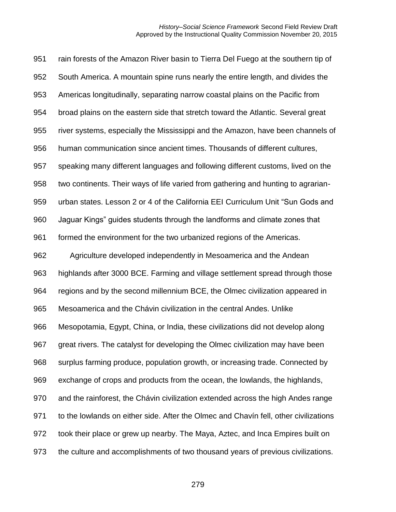rain forests of the Amazon River basin to Tierra Del Fuego at the southern tip of South America. A mountain spine runs nearly the entire length, and divides the Americas longitudinally, separating narrow coastal plains on the Pacific from broad plains on the eastern side that stretch toward the Atlantic. Several great river systems, especially the Mississippi and the Amazon, have been channels of human communication since ancient times. Thousands of different cultures, speaking many different languages and following different customs, lived on the two continents. Their ways of life varied from gathering and hunting to agrarian- urban states. Lesson 2 or 4 of the California EEI Curriculum Unit "Sun Gods and Jaguar Kings" guides students through the landforms and climate zones that 961 formed the environment for the two urbanized regions of the Americas. Agriculture developed independently in Mesoamerica and the Andean highlands after 3000 BCE. Farming and village settlement spread through those regions and by the second millennium BCE, the Olmec civilization appeared in Mesoamerica and the Chávin civilization in the central Andes. Unlike Mesopotamia, Egypt, China, or India, these civilizations did not develop along great rivers. The catalyst for developing the Olmec civilization may have been surplus farming produce, population growth, or increasing trade. Connected by exchange of crops and products from the ocean, the lowlands, the highlands, and the rainforest, the Chávin civilization extended across the high Andes range to the lowlands on either side. After the Olmec and Chavín fell, other civilizations took their place or grew up nearby. The Maya, Aztec, and Inca Empires built on the culture and accomplishments of two thousand years of previous civilizations.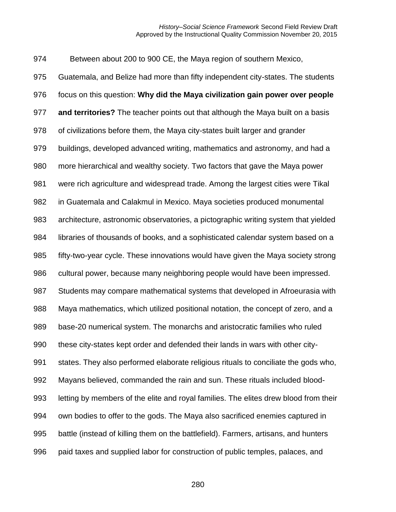Between about 200 to 900 CE, the Maya region of southern Mexico, Guatemala, and Belize had more than fifty independent city-states. The students focus on this question: **Why did the Maya civilization gain power over people and territories?** The teacher points out that although the Maya built on a basis of civilizations before them, the Maya city-states built larger and grander buildings, developed advanced writing, mathematics and astronomy, and had a more hierarchical and wealthy society. Two factors that gave the Maya power were rich agriculture and widespread trade. Among the largest cities were Tikal in Guatemala and Calakmul in Mexico. Maya societies produced monumental architecture, astronomic observatories, a pictographic writing system that yielded libraries of thousands of books, and a sophisticated calendar system based on a fifty-two-year cycle. These innovations would have given the Maya society strong cultural power, because many neighboring people would have been impressed. Students may compare mathematical systems that developed in Afroeurasia with Maya mathematics, which utilized positional notation, the concept of zero, and a base-20 numerical system. The monarchs and aristocratic families who ruled these city-states kept order and defended their lands in wars with other city- states. They also performed elaborate religious rituals to conciliate the gods who, Mayans believed, commanded the rain and sun. These rituals included blood- letting by members of the elite and royal families. The elites drew blood from their own bodies to offer to the gods. The Maya also sacrificed enemies captured in battle (instead of killing them on the battlefield). Farmers, artisans, and hunters paid taxes and supplied labor for construction of public temples, palaces, and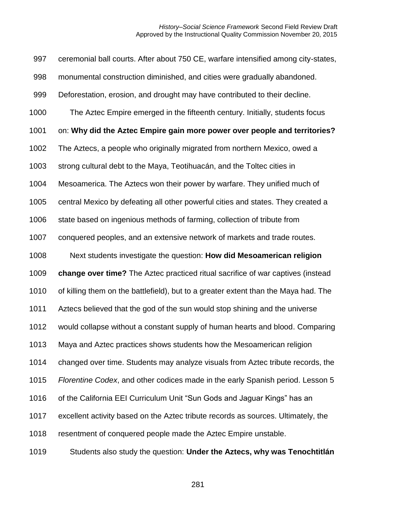ceremonial ball courts. After about 750 CE, warfare intensified among city-states, monumental construction diminished, and cities were gradually abandoned. Deforestation, erosion, and drought may have contributed to their decline. The Aztec Empire emerged in the fifteenth century. Initially, students focus on: **Why did the Aztec Empire gain more power over people and territories?**  The Aztecs, a people who originally migrated from northern Mexico, owed a strong cultural debt to the Maya, Teotihuacán, and the Toltec cities in Mesoamerica. The Aztecs won their power by warfare. They unified much of central Mexico by defeating all other powerful cities and states. They created a state based on ingenious methods of farming, collection of tribute from conquered peoples, and an extensive network of markets and trade routes. Next students investigate the question: **How did Mesoamerican religion change over time?** The Aztec practiced ritual sacrifice of war captives (instead of killing them on the battlefield), but to a greater extent than the Maya had. The Aztecs believed that the god of the sun would stop shining and the universe would collapse without a constant supply of human hearts and blood. Comparing Maya and Aztec practices shows students how the Mesoamerican religion changed over time. Students may analyze visuals from Aztec tribute records, the *Florentine Codex*, and other codices made in the early Spanish period. Lesson 5 of the California EEI Curriculum Unit "Sun Gods and Jaguar Kings" has an excellent activity based on the Aztec tribute records as sources. Ultimately, the resentment of conquered people made the Aztec Empire unstable. Students also study the question: **Under the Aztecs, why was Tenochtitlán**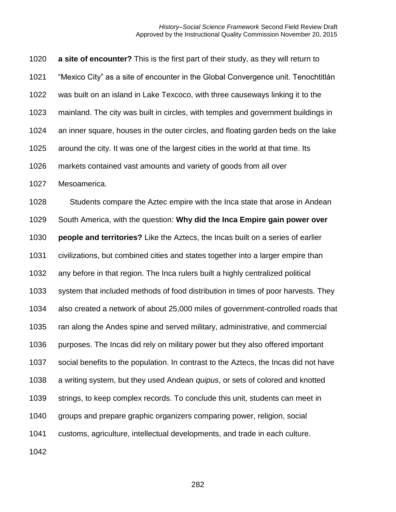**a site of encounter?** This is the first part of their study, as they will return to "Mexico City" as a site of encounter in the Global Convergence unit. Tenochtitlán was built on an island in Lake Texcoco, with three causeways linking it to the mainland. The city was built in circles, with temples and government buildings in an inner square, houses in the outer circles, and floating garden beds on the lake around the city. It was one of the largest cities in the world at that time. Its markets contained vast amounts and variety of goods from all over Mesoamerica. Students compare the Aztec empire with the Inca state that arose in Andean South America, with the question: **Why did the Inca Empire gain power over people and territories?** Like the Aztecs, the Incas built on a series of earlier civilizations, but combined cities and states together into a larger empire than any before in that region. The Inca rulers built a highly centralized political system that included methods of food distribution in times of poor harvests. They also created a network of about 25,000 miles of government-controlled roads that ran along the Andes spine and served military, administrative, and commercial purposes. The Incas did rely on military power but they also offered important social benefits to the population. In contrast to the Aztecs, the Incas did not have a writing system, but they used Andean *quipus*, or sets of colored and knotted

strings, to keep complex records. To conclude this unit, students can meet in

groups and prepare graphic organizers comparing power, religion, social

customs, agriculture, intellectual developments, and trade in each culture.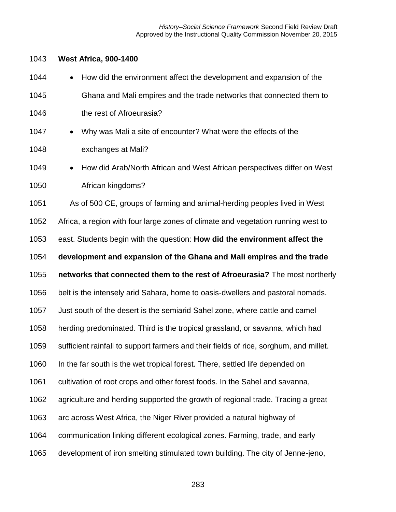## **West Africa, 900-1400**

| 1044 | How did the environment affect the development and expansion of the<br>$\bullet$      |
|------|---------------------------------------------------------------------------------------|
| 1045 | Ghana and Mali empires and the trade networks that connected them to                  |
| 1046 | the rest of Afroeurasia?                                                              |
| 1047 | Why was Mali a site of encounter? What were the effects of the<br>$\bullet$           |
| 1048 | exchanges at Mali?                                                                    |
| 1049 | How did Arab/North African and West African perspectives differ on West<br>$\bullet$  |
| 1050 | African kingdoms?                                                                     |
| 1051 | As of 500 CE, groups of farming and animal-herding peoples lived in West              |
| 1052 | Africa, a region with four large zones of climate and vegetation running west to      |
| 1053 | east. Students begin with the question: How did the environment affect the            |
| 1054 | development and expansion of the Ghana and Mali empires and the trade                 |
| 1055 | networks that connected them to the rest of Afroeurasia? The most northerly           |
|      |                                                                                       |
| 1056 | belt is the intensely arid Sahara, home to oasis-dwellers and pastoral nomads.        |
| 1057 | Just south of the desert is the semiarid Sahel zone, where cattle and camel           |
| 1058 | herding predominated. Third is the tropical grassland, or savanna, which had          |
| 1059 | sufficient rainfall to support farmers and their fields of rice, sorghum, and millet. |
| 1060 | In the far south is the wet tropical forest. There, settled life depended on          |
| 1061 | cultivation of root crops and other forest foods. In the Sahel and savanna,           |
| 1062 | agriculture and herding supported the growth of regional trade. Tracing a great       |
| 1063 | arc across West Africa, the Niger River provided a natural highway of                 |
| 1064 | communication linking different ecological zones. Farming, trade, and early           |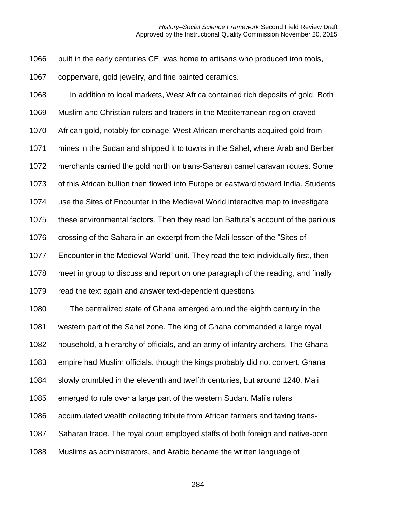built in the early centuries CE, was home to artisans who produced iron tools,

copperware, gold jewelry, and fine painted ceramics.

 In addition to local markets, West Africa contained rich deposits of gold. Both Muslim and Christian rulers and traders in the Mediterranean region craved African gold, notably for coinage. West African merchants acquired gold from mines in the Sudan and shipped it to towns in the Sahel, where Arab and Berber merchants carried the gold north on trans-Saharan camel caravan routes. Some of this African bullion then flowed into Europe or eastward toward India. Students use the Sites of Encounter in the Medieval World interactive map to investigate these environmental factors. Then they read Ibn Battuta's account of the perilous crossing of the Sahara in an excerpt from the Mali lesson of the "Sites of Encounter in the Medieval World" unit. They read the text individually first, then meet in group to discuss and report on one paragraph of the reading, and finally read the text again and answer text-dependent questions. The centralized state of Ghana emerged around the eighth century in the western part of the Sahel zone. The king of Ghana commanded a large royal household, a hierarchy of officials, and an army of infantry archers. The Ghana empire had Muslim officials, though the kings probably did not convert. Ghana slowly crumbled in the eleventh and twelfth centuries, but around 1240, Mali emerged to rule over a large part of the western Sudan. Mali's rulers accumulated wealth collecting tribute from African farmers and taxing trans- Saharan trade. The royal court employed staffs of both foreign and native-born Muslims as administrators, and Arabic became the written language of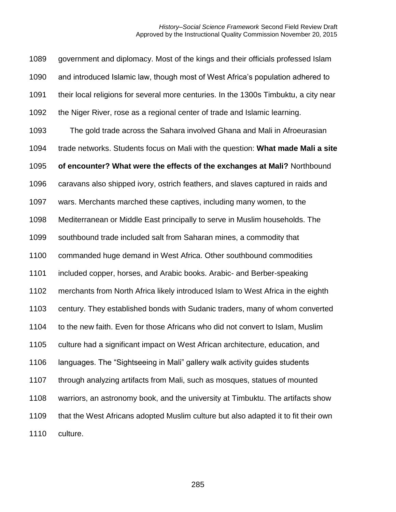government and diplomacy. Most of the kings and their officials professed Islam and introduced Islamic law, though most of West Africa's population adhered to their local religions for several more centuries. In the 1300s Timbuktu, a city near the Niger River, rose as a regional center of trade and Islamic learning. The gold trade across the Sahara involved Ghana and Mali in Afroeurasian trade networks. Students focus on Mali with the question: **What made Mali a site of encounter? What were the effects of the exchanges at Mali?** Northbound caravans also shipped ivory, ostrich feathers, and slaves captured in raids and wars. Merchants marched these captives, including many women, to the Mediterranean or Middle East principally to serve in Muslim households. The southbound trade included salt from Saharan mines, a commodity that commanded huge demand in West Africa. Other southbound commodities included copper, horses, and Arabic books. Arabic- and Berber-speaking merchants from North Africa likely introduced Islam to West Africa in the eighth century. They established bonds with Sudanic traders, many of whom converted to the new faith. Even for those Africans who did not convert to Islam, Muslim culture had a significant impact on West African architecture, education, and languages. The "Sightseeing in Mali" gallery walk activity guides students through analyzing artifacts from Mali, such as mosques, statues of mounted warriors, an astronomy book, and the university at Timbuktu. The artifacts show that the West Africans adopted Muslim culture but also adapted it to fit their own culture.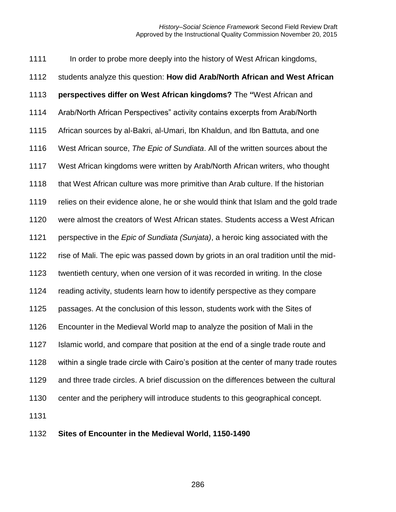1111 In order to probe more deeply into the history of West African kingdoms, students analyze this question: **How did Arab/North African and West African perspectives differ on West African kingdoms?** The **"**West African and Arab/North African Perspectives" activity contains excerpts from Arab/North African sources by al-Bakri, al-Umari, Ibn Khaldun, and Ibn Battuta, and one West African source, *The Epic of Sundiata*. All of the written sources about the West African kingdoms were written by Arab/North African writers, who thought 1118 that West African culture was more primitive than Arab culture. If the historian relies on their evidence alone, he or she would think that Islam and the gold trade were almost the creators of West African states. Students access a West African perspective in the *Epic of Sundiata (Sunjata)*, a heroic king associated with the rise of Mali. The epic was passed down by griots in an oral tradition until the mid- twentieth century, when one version of it was recorded in writing. In the close reading activity, students learn how to identify perspective as they compare passages. At the conclusion of this lesson, students work with the Sites of Encounter in the Medieval World map to analyze the position of Mali in the Islamic world, and compare that position at the end of a single trade route and within a single trade circle with Cairo's position at the center of many trade routes and three trade circles. A brief discussion on the differences between the cultural center and the periphery will introduce students to this geographical concept. 

**Sites of Encounter in the Medieval World, 1150-1490**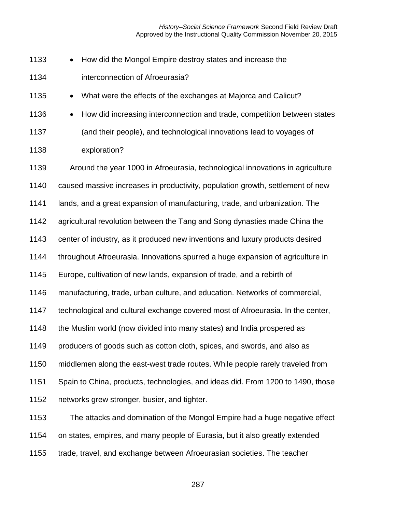*History–Social Science Framework* Second Field Review Draft Approved by the Instructional Quality Commission November 20, 2015

1133 • How did the Mongol Empire destroy states and increase the interconnection of Afroeurasia?

1135 • What were the effects of the exchanges at Majorca and Calicut?

1136 • How did increasing interconnection and trade, competition between states (and their people), and technological innovations lead to voyages of

 exploration? Around the year 1000 in Afroeurasia, technological innovations in agriculture

caused massive increases in productivity, population growth, settlement of new

lands, and a great expansion of manufacturing, trade, and urbanization. The

agricultural revolution between the Tang and Song dynasties made China the

center of industry, as it produced new inventions and luxury products desired

throughout Afroeurasia. Innovations spurred a huge expansion of agriculture in

Europe, cultivation of new lands, expansion of trade, and a rebirth of

manufacturing, trade, urban culture, and education. Networks of commercial,

technological and cultural exchange covered most of Afroeurasia. In the center,

1148 the Muslim world (now divided into many states) and India prospered as

producers of goods such as cotton cloth, spices, and swords, and also as

middlemen along the east-west trade routes. While people rarely traveled from

Spain to China, products, technologies, and ideas did. From 1200 to 1490, those

networks grew stronger, busier, and tighter.

 The attacks and domination of the Mongol Empire had a huge negative effect on states, empires, and many people of Eurasia, but it also greatly extended

trade, travel, and exchange between Afroeurasian societies. The teacher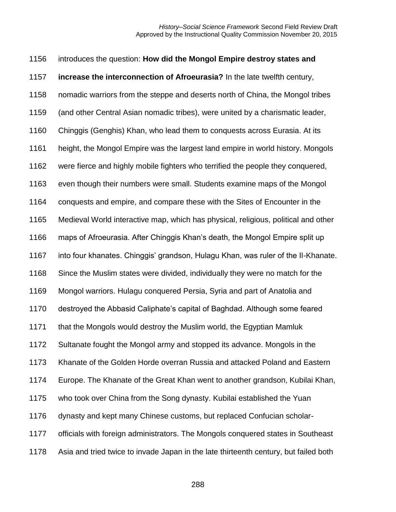| 1156 | introduces the question: How did the Mongol Empire destroy states and                |
|------|--------------------------------------------------------------------------------------|
| 1157 | increase the interconnection of Afroeurasia? In the late twelfth century,            |
| 1158 | nomadic warriors from the steppe and deserts north of China, the Mongol tribes       |
| 1159 | (and other Central Asian nomadic tribes), were united by a charismatic leader,       |
| 1160 | Chinggis (Genghis) Khan, who lead them to conquests across Eurasia. At its           |
| 1161 | height, the Mongol Empire was the largest land empire in world history. Mongols      |
| 1162 | were fierce and highly mobile fighters who terrified the people they conquered,      |
| 1163 | even though their numbers were small. Students examine maps of the Mongol            |
| 1164 | conquests and empire, and compare these with the Sites of Encounter in the           |
| 1165 | Medieval World interactive map, which has physical, religious, political and other   |
| 1166 | maps of Afroeurasia. After Chinggis Khan's death, the Mongol Empire split up         |
| 1167 | into four khanates. Chinggis' grandson, Hulagu Khan, was ruler of the II-Khanate.    |
| 1168 | Since the Muslim states were divided, individually they were no match for the        |
| 1169 | Mongol warriors. Hulagu conquered Persia, Syria and part of Anatolia and             |
| 1170 | destroyed the Abbasid Caliphate's capital of Baghdad. Although some feared           |
| 1171 | that the Mongols would destroy the Muslim world, the Egyptian Mamluk                 |
| 1172 | Sultanate fought the Mongol army and stopped its advance. Mongols in the             |
| 1173 | Khanate of the Golden Horde overran Russia and attacked Poland and Eastern           |
| 1174 | Europe. The Khanate of the Great Khan went to another grandson, Kubilai Khan,        |
| 1175 | who took over China from the Song dynasty. Kubilai established the Yuan              |
| 1176 | dynasty and kept many Chinese customs, but replaced Confucian scholar-               |
| 1177 | officials with foreign administrators. The Mongols conquered states in Southeast     |
| 1178 | Asia and tried twice to invade Japan in the late thirteenth century, but failed both |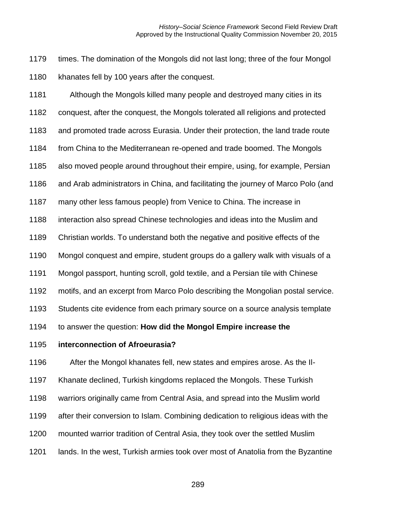times. The domination of the Mongols did not last long; three of the four Mongol khanates fell by 100 years after the conquest.

 Although the Mongols killed many people and destroyed many cities in its conquest, after the conquest, the Mongols tolerated all religions and protected and promoted trade across Eurasia. Under their protection, the land trade route from China to the Mediterranean re-opened and trade boomed. The Mongols also moved people around throughout their empire, using, for example, Persian and Arab administrators in China, and facilitating the journey of Marco Polo (and many other less famous people) from Venice to China. The increase in interaction also spread Chinese technologies and ideas into the Muslim and Christian worlds. To understand both the negative and positive effects of the Mongol conquest and empire, student groups do a gallery walk with visuals of a Mongol passport, hunting scroll, gold textile, and a Persian tile with Chinese motifs, and an excerpt from Marco Polo describing the Mongolian postal service. Students cite evidence from each primary source on a source analysis template to answer the question: **How did the Mongol Empire increase the** 

**interconnection of Afroeurasia?**

After the Mongol khanates fell, new states and empires arose. As the Il-

Khanate declined, Turkish kingdoms replaced the Mongols. These Turkish

warriors originally came from Central Asia, and spread into the Muslim world

- after their conversion to Islam. Combining dedication to religious ideas with the
- mounted warrior tradition of Central Asia, they took over the settled Muslim
- lands. In the west, Turkish armies took over most of Anatolia from the Byzantine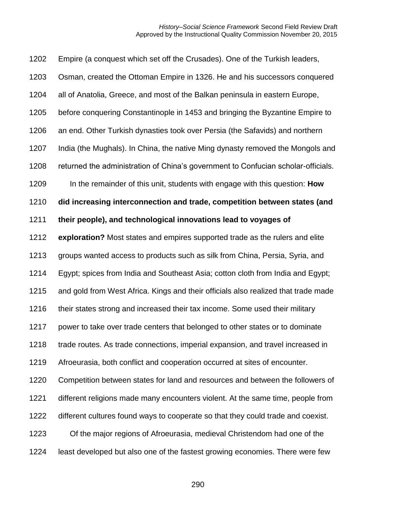Empire (a conquest which set off the Crusades). One of the Turkish leaders, Osman, created the Ottoman Empire in 1326. He and his successors conquered all of Anatolia, Greece, and most of the Balkan peninsula in eastern Europe, before conquering Constantinople in 1453 and bringing the Byzantine Empire to an end. Other Turkish dynasties took over Persia (the Safavids) and northern India (the Mughals). In China, the native Ming dynasty removed the Mongols and returned the administration of China's government to Confucian scholar-officials. In the remainder of this unit, students with engage with this question: **How did increasing interconnection and trade, competition between states (and their people), and technological innovations lead to voyages of exploration?** Most states and empires supported trade as the rulers and elite groups wanted access to products such as silk from China, Persia, Syria, and Egypt; spices from India and Southeast Asia; cotton cloth from India and Egypt; and gold from West Africa. Kings and their officials also realized that trade made 1216 their states strong and increased their tax income. Some used their military power to take over trade centers that belonged to other states or to dominate trade routes. As trade connections, imperial expansion, and travel increased in Afroeurasia, both conflict and cooperation occurred at sites of encounter. Competition between states for land and resources and between the followers of different religions made many encounters violent. At the same time, people from different cultures found ways to cooperate so that they could trade and coexist. Of the major regions of Afroeurasia, medieval Christendom had one of the least developed but also one of the fastest growing economies. There were few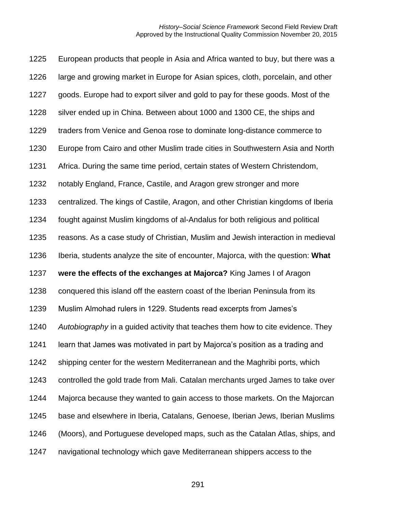European products that people in Asia and Africa wanted to buy, but there was a large and growing market in Europe for Asian spices, cloth, porcelain, and other goods. Europe had to export silver and gold to pay for these goods. Most of the silver ended up in China. Between about 1000 and 1300 CE, the ships and traders from Venice and Genoa rose to dominate long-distance commerce to Europe from Cairo and other Muslim trade cities in Southwestern Asia and North Africa. During the same time period, certain states of Western Christendom, notably England, France, Castile, and Aragon grew stronger and more centralized. The kings of Castile, Aragon, and other Christian kingdoms of Iberia fought against Muslim kingdoms of al-Andalus for both religious and political reasons. As a case study of Christian, Muslim and Jewish interaction in medieval Iberia, students analyze the site of encounter, Majorca, with the question: **What were the effects of the exchanges at Majorca?** King James I of Aragon conquered this island off the eastern coast of the Iberian Peninsula from its Muslim Almohad rulers in 1229. Students read excerpts from James's *Autobiography* in a guided activity that teaches them how to cite evidence. They learn that James was motivated in part by Majorca's position as a trading and shipping center for the western Mediterranean and the Maghribi ports, which controlled the gold trade from Mali. Catalan merchants urged James to take over Majorca because they wanted to gain access to those markets. On the Majorcan base and elsewhere in Iberia, Catalans, Genoese, Iberian Jews, Iberian Muslims (Moors), and Portuguese developed maps, such as the Catalan Atlas, ships, and navigational technology which gave Mediterranean shippers access to the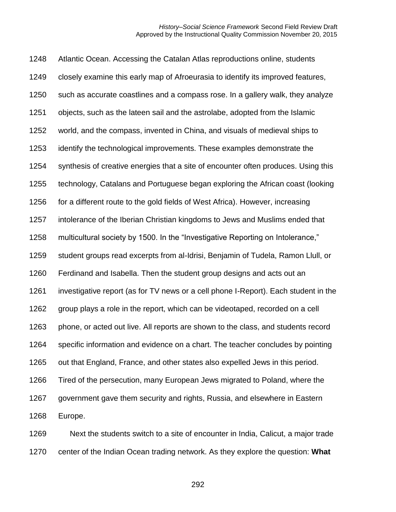Atlantic Ocean. Accessing the Catalan Atlas reproductions online, students closely examine this early map of Afroeurasia to identify its improved features, such as accurate coastlines and a compass rose. In a gallery walk, they analyze objects, such as the lateen sail and the astrolabe, adopted from the Islamic world, and the compass, invented in China, and visuals of medieval ships to identify the technological improvements. These examples demonstrate the synthesis of creative energies that a site of encounter often produces. Using this technology, Catalans and Portuguese began exploring the African coast (looking for a different route to the gold fields of West Africa). However, increasing intolerance of the Iberian Christian kingdoms to Jews and Muslims ended that multicultural society by 1500. In the "Investigative Reporting on Intolerance," student groups read excerpts from al-Idrisi, Benjamin of Tudela, Ramon Llull, or Ferdinand and Isabella. Then the student group designs and acts out an investigative report (as for TV news or a cell phone I-Report). Each student in the group plays a role in the report, which can be videotaped, recorded on a cell phone, or acted out live. All reports are shown to the class, and students record specific information and evidence on a chart. The teacher concludes by pointing out that England, France, and other states also expelled Jews in this period. Tired of the persecution, many European Jews migrated to Poland, where the government gave them security and rights, Russia, and elsewhere in Eastern Europe.

 Next the students switch to a site of encounter in India, Calicut, a major trade center of the Indian Ocean trading network. As they explore the question: **What**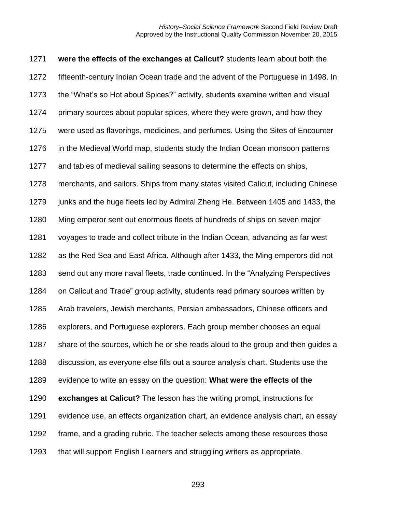**were the effects of the exchanges at Calicut?** students learn about both the fifteenth-century Indian Ocean trade and the advent of the Portuguese in 1498. In the "What's so Hot about Spices?" activity, students examine written and visual primary sources about popular spices, where they were grown, and how they were used as flavorings, medicines, and perfumes. Using the Sites of Encounter in the Medieval World map, students study the Indian Ocean monsoon patterns and tables of medieval sailing seasons to determine the effects on ships, merchants, and sailors. Ships from many states visited Calicut, including Chinese junks and the huge fleets led by Admiral Zheng He. Between 1405 and 1433, the Ming emperor sent out enormous fleets of hundreds of ships on seven major voyages to trade and collect tribute in the Indian Ocean, advancing as far west as the Red Sea and East Africa. Although after 1433, the Ming emperors did not send out any more naval fleets, trade continued. In the "Analyzing Perspectives on Calicut and Trade" group activity, students read primary sources written by Arab travelers, Jewish merchants, Persian ambassadors, Chinese officers and explorers, and Portuguese explorers. Each group member chooses an equal share of the sources, which he or she reads aloud to the group and then guides a discussion, as everyone else fills out a source analysis chart. Students use the evidence to write an essay on the question: **What were the effects of the exchanges at Calicut?** The lesson has the writing prompt, instructions for evidence use, an effects organization chart, an evidence analysis chart, an essay frame, and a grading rubric. The teacher selects among these resources those that will support English Learners and struggling writers as appropriate.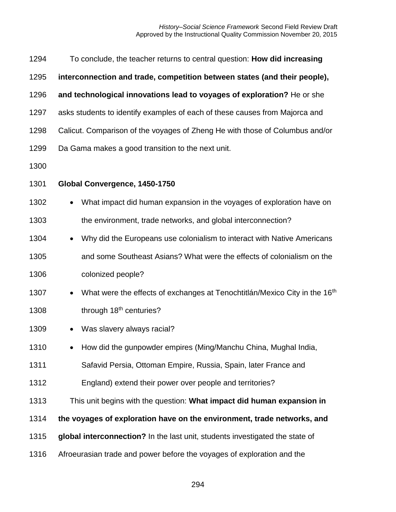| 1294 | To conclude, the teacher returns to central question: How did increasing                            |  |  |  |  |
|------|-----------------------------------------------------------------------------------------------------|--|--|--|--|
| 1295 | interconnection and trade, competition between states (and their people),                           |  |  |  |  |
| 1296 | and technological innovations lead to voyages of exploration? He or she                             |  |  |  |  |
| 1297 | asks students to identify examples of each of these causes from Majorca and                         |  |  |  |  |
| 1298 | Calicut. Comparison of the voyages of Zheng He with those of Columbus and/or                        |  |  |  |  |
| 1299 | Da Gama makes a good transition to the next unit.                                                   |  |  |  |  |
| 1300 |                                                                                                     |  |  |  |  |
| 1301 | Global Convergence, 1450-1750                                                                       |  |  |  |  |
| 1302 | What impact did human expansion in the voyages of exploration have on<br>$\bullet$                  |  |  |  |  |
| 1303 | the environment, trade networks, and global interconnection?                                        |  |  |  |  |
| 1304 | Why did the Europeans use colonialism to interact with Native Americans<br>$\bullet$                |  |  |  |  |
| 1305 | and some Southeast Asians? What were the effects of colonialism on the                              |  |  |  |  |
| 1306 | colonized people?                                                                                   |  |  |  |  |
| 1307 | What were the effects of exchanges at Tenochtitlán/Mexico City in the 16 <sup>th</sup><br>$\bullet$ |  |  |  |  |
| 1308 | through 18 <sup>th</sup> centuries?                                                                 |  |  |  |  |
| 1309 | Was slavery always racial?                                                                          |  |  |  |  |
| 1310 | How did the gunpowder empires (Ming/Manchu China, Mughal India,                                     |  |  |  |  |
| 1311 | Safavid Persia, Ottoman Empire, Russia, Spain, later France and                                     |  |  |  |  |
| 1312 | England) extend their power over people and territories?                                            |  |  |  |  |
| 1313 | This unit begins with the question: What impact did human expansion in                              |  |  |  |  |
| 1314 | the voyages of exploration have on the environment, trade networks, and                             |  |  |  |  |
| 1315 | global interconnection? In the last unit, students investigated the state of                        |  |  |  |  |
| 1316 | Afroeurasian trade and power before the voyages of exploration and the                              |  |  |  |  |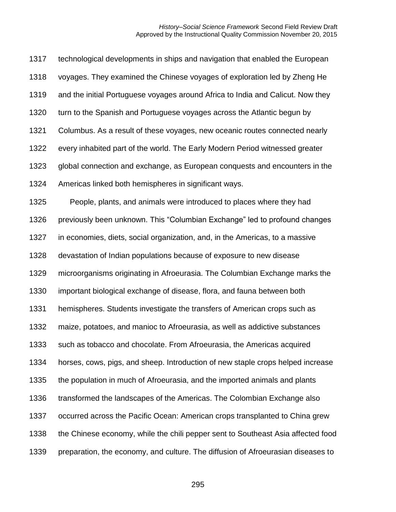| 1317 | technological developments in ships and navigation that enabled the European     |
|------|----------------------------------------------------------------------------------|
| 1318 | voyages. They examined the Chinese voyages of exploration led by Zheng He        |
| 1319 | and the initial Portuguese voyages around Africa to India and Calicut. Now they  |
| 1320 | turn to the Spanish and Portuguese voyages across the Atlantic begun by          |
| 1321 | Columbus. As a result of these voyages, new oceanic routes connected nearly      |
| 1322 | every inhabited part of the world. The Early Modern Period witnessed greater     |
| 1323 | global connection and exchange, as European conquests and encounters in the      |
| 1324 | Americas linked both hemispheres in significant ways.                            |
| 1325 | People, plants, and animals were introduced to places where they had             |
| 1326 | previously been unknown. This "Columbian Exchange" led to profound changes       |
| 1327 | in economies, diets, social organization, and, in the Americas, to a massive     |
| 1328 | devastation of Indian populations because of exposure to new disease             |
| 1329 | microorganisms originating in Afroeurasia. The Columbian Exchange marks the      |
| 1330 | important biological exchange of disease, flora, and fauna between both          |
| 1331 | hemispheres. Students investigate the transfers of American crops such as        |
| 1332 | maize, potatoes, and manioc to Afroeurasia, as well as addictive substances      |
| 1333 | such as tobacco and chocolate. From Afroeurasia, the Americas acquired           |
| 1334 | horses, cows, pigs, and sheep. Introduction of new staple crops helped increase  |
| 1335 | the population in much of Afroeurasia, and the imported animals and plants       |
| 1336 | transformed the landscapes of the Americas. The Colombian Exchange also          |
| 1337 | occurred across the Pacific Ocean: American crops transplanted to China grew     |
| 1338 | the Chinese economy, while the chili pepper sent to Southeast Asia affected food |
| 1339 | preparation, the economy, and culture. The diffusion of Afroeurasian diseases to |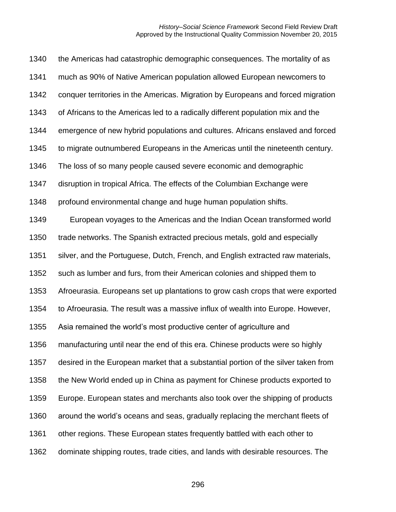| 1340 | the Americas had catastrophic demographic consequences. The mortality of as        |
|------|------------------------------------------------------------------------------------|
| 1341 | much as 90% of Native American population allowed European newcomers to            |
| 1342 | conquer territories in the Americas. Migration by Europeans and forced migration   |
| 1343 | of Africans to the Americas led to a radically different population mix and the    |
| 1344 | emergence of new hybrid populations and cultures. Africans enslaved and forced     |
| 1345 | to migrate outnumbered Europeans in the Americas until the nineteenth century.     |
| 1346 | The loss of so many people caused severe economic and demographic                  |
| 1347 | disruption in tropical Africa. The effects of the Columbian Exchange were          |
| 1348 | profound environmental change and huge human population shifts.                    |
| 1349 | European voyages to the Americas and the Indian Ocean transformed world            |
| 1350 | trade networks. The Spanish extracted precious metals, gold and especially         |
| 1351 | silver, and the Portuguese, Dutch, French, and English extracted raw materials,    |
| 1352 | such as lumber and furs, from their American colonies and shipped them to          |
| 1353 | Afroeurasia. Europeans set up plantations to grow cash crops that were exported    |
| 1354 | to Afroeurasia. The result was a massive influx of wealth into Europe. However,    |
| 1355 | Asia remained the world's most productive center of agriculture and                |
| 1356 | manufacturing until near the end of this era. Chinese products were so highly      |
| 1357 | desired in the European market that a substantial portion of the silver taken from |
| 1358 | the New World ended up in China as payment for Chinese products exported to        |
| 1359 | Europe. European states and merchants also took over the shipping of products      |
| 1360 | around the world's oceans and seas, gradually replacing the merchant fleets of     |
| 1361 | other regions. These European states frequently battled with each other to         |
| 1362 | dominate shipping routes, trade cities, and lands with desirable resources. The    |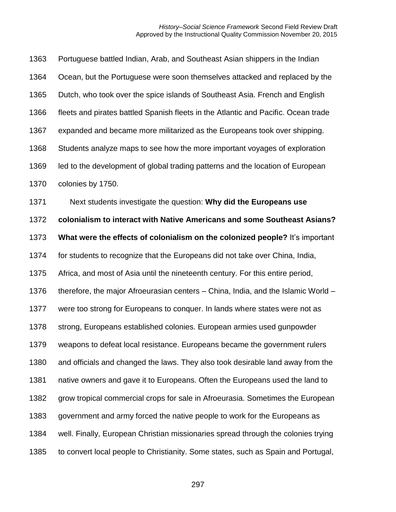| 1363 | Portuguese battled Indian, Arab, and Southeast Asian shippers in the Indian        |
|------|------------------------------------------------------------------------------------|
| 1364 | Ocean, but the Portuguese were soon themselves attacked and replaced by the        |
| 1365 | Dutch, who took over the spice islands of Southeast Asia. French and English       |
| 1366 | fleets and pirates battled Spanish fleets in the Atlantic and Pacific. Ocean trade |
| 1367 | expanded and became more militarized as the Europeans took over shipping.          |
| 1368 | Students analyze maps to see how the more important voyages of exploration         |
| 1369 | led to the development of global trading patterns and the location of European     |
| 1370 | colonies by 1750.                                                                  |
| 1371 | Next students investigate the question: Why did the Europeans use                  |
| 1372 | colonialism to interact with Native Americans and some Southeast Asians?           |
| 1373 | What were the effects of colonialism on the colonized people? It's important       |
| 1374 | for students to recognize that the Europeans did not take over China, India,       |
| 1375 | Africa, and most of Asia until the nineteenth century. For this entire period,     |
| 1376 | therefore, the major Afroeurasian centers – China, India, and the Islamic World –  |
| 1377 | were too strong for Europeans to conquer. In lands where states were not as        |
| 1378 | strong, Europeans established colonies. European armies used gunpowder             |
| 1379 | weapons to defeat local resistance. Europeans became the government rulers         |
| 1380 | and officials and changed the laws. They also took desirable land away from the    |
| 1381 | native owners and gave it to Europeans. Often the Europeans used the land to       |
| 1382 | grow tropical commercial crops for sale in Afroeurasia. Sometimes the European     |
| 1383 | government and army forced the native people to work for the Europeans as          |
| 1384 | well. Finally, European Christian missionaries spread through the colonies trying  |
| 1385 | to convert local people to Christianity. Some states, such as Spain and Portugal,  |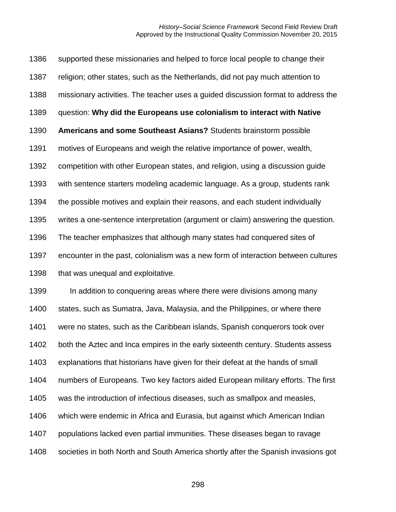supported these missionaries and helped to force local people to change their religion; other states, such as the Netherlands, did not pay much attention to missionary activities. The teacher uses a guided discussion format to address the question: **Why did the Europeans use colonialism to interact with Native Americans and some Southeast Asians?** Students brainstorm possible motives of Europeans and weigh the relative importance of power, wealth, competition with other European states, and religion, using a discussion guide with sentence starters modeling academic language. As a group, students rank the possible motives and explain their reasons, and each student individually writes a one-sentence interpretation (argument or claim) answering the question. The teacher emphasizes that although many states had conquered sites of encounter in the past, colonialism was a new form of interaction between cultures 1398 that was unequal and exploitative. 1399 In addition to conquering areas where there were divisions among many states, such as Sumatra, Java, Malaysia, and the Philippines, or where there

were no states, such as the Caribbean islands, Spanish conquerors took over

both the Aztec and Inca empires in the early sixteenth century. Students assess

explanations that historians have given for their defeat at the hands of small

numbers of Europeans. Two key factors aided European military efforts. The first

was the introduction of infectious diseases, such as smallpox and measles,

which were endemic in Africa and Eurasia, but against which American Indian

populations lacked even partial immunities. These diseases began to ravage

societies in both North and South America shortly after the Spanish invasions got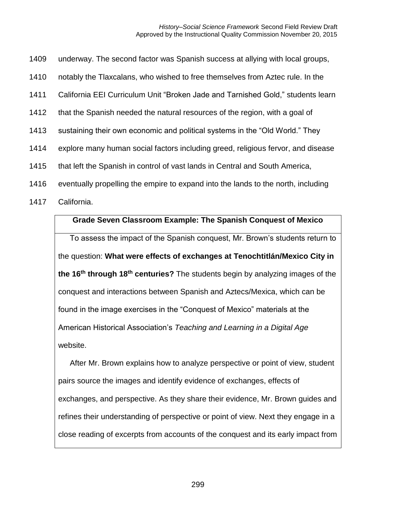|  | 1409 underway. The second factor was Spanish success at allying with local groups, |  |  |
|--|------------------------------------------------------------------------------------|--|--|
|  |                                                                                    |  |  |

- 1410 notably the Tlaxcalans, who wished to free themselves from Aztec rule. In the
- 1411 California EEI Curriculum Unit "Broken Jade and Tarnished Gold," students learn
- 1412 that the Spanish needed the natural resources of the region, with a goal of
- 1413 sustaining their own economic and political systems in the "Old World." They
- 1414 explore many human social factors including greed, religious fervor, and disease
- 1415 that left the Spanish in control of vast lands in Central and South America,
- 1416 eventually propelling the empire to expand into the lands to the north, including
- 1417 California.

## **Grade Seven Classroom Example: The Spanish Conquest of Mexico**

To assess the impact of the Spanish conquest, Mr. Brown's students return to the question: **What were effects of exchanges at Tenochtitlán/Mexico City in the 16th through 18th centuries?** The students begin by analyzing images of the conquest and interactions between Spanish and Aztecs/Mexica, which can be found in the image exercises in the "Conquest of Mexico" materials at the American Historical Association's *Teaching and Learning in a Digital Age* website.

After Mr. Brown explains how to analyze perspective or point of view, student pairs source the images and identify evidence of exchanges, effects of exchanges, and perspective. As they share their evidence, Mr. Brown guides and refines their understanding of perspective or point of view. Next they engage in a close reading of excerpts from accounts of the conquest and its early impact from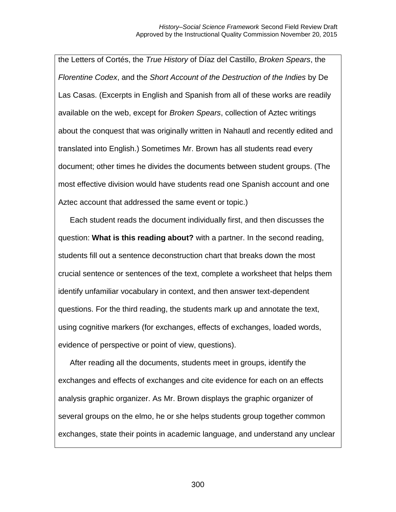the Letters of Cortés, the *True History* of Díaz del Castillo, *Broken Spears*, the *Florentine Codex*, and the *Short Account of the Destruction of the Indies* by De Las Casas. (Excerpts in English and Spanish from all of these works are readily available on the web, except for *Broken Spears*, collection of Aztec writings about the conquest that was originally written in Nahautl and recently edited and translated into English.) Sometimes Mr. Brown has all students read every document; other times he divides the documents between student groups. (The most effective division would have students read one Spanish account and one Aztec account that addressed the same event or topic.)

Each student reads the document individually first, and then discusses the question: **What is this reading about?** with a partner. In the second reading, students fill out a sentence deconstruction chart that breaks down the most crucial sentence or sentences of the text, complete a worksheet that helps them identify unfamiliar vocabulary in context, and then answer text-dependent questions. For the third reading, the students mark up and annotate the text, using cognitive markers (for exchanges, effects of exchanges, loaded words, evidence of perspective or point of view, questions).

After reading all the documents, students meet in groups, identify the exchanges and effects of exchanges and cite evidence for each on an effects analysis graphic organizer. As Mr. Brown displays the graphic organizer of several groups on the elmo, he or she helps students group together common exchanges, state their points in academic language, and understand any unclear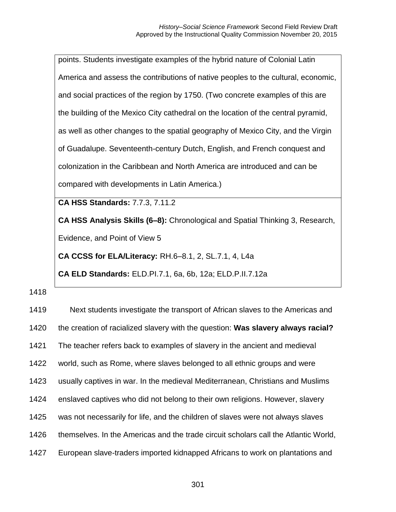points. Students investigate examples of the hybrid nature of Colonial Latin America and assess the contributions of native peoples to the cultural, economic, and social practices of the region by 1750. (Two concrete examples of this are the building of the Mexico City cathedral on the location of the central pyramid, as well as other changes to the spatial geography of Mexico City, and the Virgin of Guadalupe. Seventeenth-century Dutch, English, and French conquest and colonization in the Caribbean and North America are introduced and can be compared with developments in Latin America.)

**CA HSS Standards:** 7.7.3, 7.11.2

**CA HSS Analysis Skills (6–8):** Chronological and Spatial Thinking 3, Research, Evidence, and Point of View 5

**CA CCSS for ELA/Literacy:** RH.6–8.1, 2, SL.7.1, 4, L4a

**CA ELD Standards:** ELD.PI.7.1, 6a, 6b, 12a; ELD.P.II.7.12a

1418

 Next students investigate the transport of African slaves to the Americas and the creation of racialized slavery with the question: **Was slavery always racial?**  The teacher refers back to examples of slavery in the ancient and medieval world, such as Rome, where slaves belonged to all ethnic groups and were usually captives in war. In the medieval Mediterranean, Christians and Muslims enslaved captives who did not belong to their own religions. However, slavery was not necessarily for life, and the children of slaves were not always slaves themselves. In the Americas and the trade circuit scholars call the Atlantic World, European slave-traders imported kidnapped Africans to work on plantations and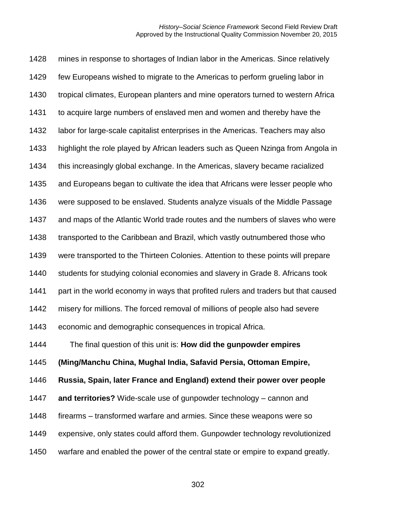mines in response to shortages of Indian labor in the Americas. Since relatively few Europeans wished to migrate to the Americas to perform grueling labor in tropical climates, European planters and mine operators turned to western Africa to acquire large numbers of enslaved men and women and thereby have the labor for large-scale capitalist enterprises in the Americas. Teachers may also highlight the role played by African leaders such as Queen Nzinga from Angola in this increasingly global exchange. In the Americas, slavery became racialized and Europeans began to cultivate the idea that Africans were lesser people who were supposed to be enslaved. Students analyze visuals of the Middle Passage and maps of the Atlantic World trade routes and the numbers of slaves who were 1438 transported to the Caribbean and Brazil, which vastly outnumbered those who were transported to the Thirteen Colonies. Attention to these points will prepare students for studying colonial economies and slavery in Grade 8. Africans took part in the world economy in ways that profited rulers and traders but that caused misery for millions. The forced removal of millions of people also had severe economic and demographic consequences in tropical Africa. The final question of this unit is: **How did the gunpowder empires (Ming/Manchu China, Mughal India, Safavid Persia, Ottoman Empire, Russia, Spain, later France and England) extend their power over people and territories?** Wide-scale use of gunpowder technology – cannon and firearms – transformed warfare and armies. Since these weapons were so expensive, only states could afford them. Gunpowder technology revolutionized warfare and enabled the power of the central state or empire to expand greatly.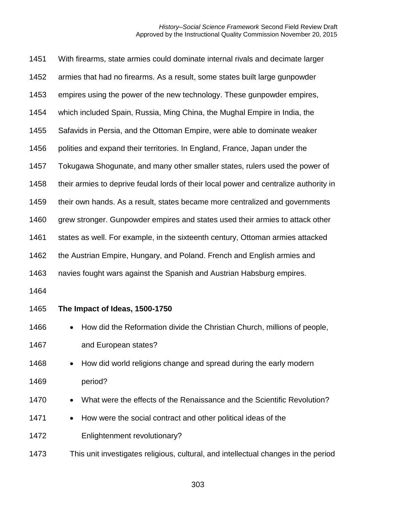| 1451 | With firearms, state armies could dominate internal rivals and decimate larger        |  |  |  |  |
|------|---------------------------------------------------------------------------------------|--|--|--|--|
| 1452 | armies that had no firearms. As a result, some states built large gunpowder           |  |  |  |  |
| 1453 | empires using the power of the new technology. These gunpowder empires,               |  |  |  |  |
| 1454 | which included Spain, Russia, Ming China, the Mughal Empire in India, the             |  |  |  |  |
| 1455 | Safavids in Persia, and the Ottoman Empire, were able to dominate weaker              |  |  |  |  |
| 1456 | polities and expand their territories. In England, France, Japan under the            |  |  |  |  |
| 1457 | Tokugawa Shogunate, and many other smaller states, rulers used the power of           |  |  |  |  |
| 1458 | their armies to deprive feudal lords of their local power and centralize authority in |  |  |  |  |
| 1459 | their own hands. As a result, states became more centralized and governments          |  |  |  |  |
| 1460 | grew stronger. Gunpowder empires and states used their armies to attack other         |  |  |  |  |
| 1461 | states as well. For example, in the sixteenth century, Ottoman armies attacked        |  |  |  |  |
| 1462 | the Austrian Empire, Hungary, and Poland. French and English armies and               |  |  |  |  |
| 1463 | navies fought wars against the Spanish and Austrian Habsburg empires.                 |  |  |  |  |
| 1464 |                                                                                       |  |  |  |  |
| 1465 | The Impact of Ideas, 1500-1750                                                        |  |  |  |  |
| 1466 | How did the Reformation divide the Christian Church, millions of people,<br>$\bullet$ |  |  |  |  |
| 1467 | and European states?                                                                  |  |  |  |  |
| 1468 | How did world religions change and spread during the early modern                     |  |  |  |  |
| 1469 | period?                                                                               |  |  |  |  |
| 1470 | What were the effects of the Renaissance and the Scientific Revolution?               |  |  |  |  |
| 1471 | How were the social contract and other political ideas of the                         |  |  |  |  |
| 1472 | Enlightenment revolutionary?                                                          |  |  |  |  |
|      |                                                                                       |  |  |  |  |

This unit investigates religious, cultural, and intellectual changes in the period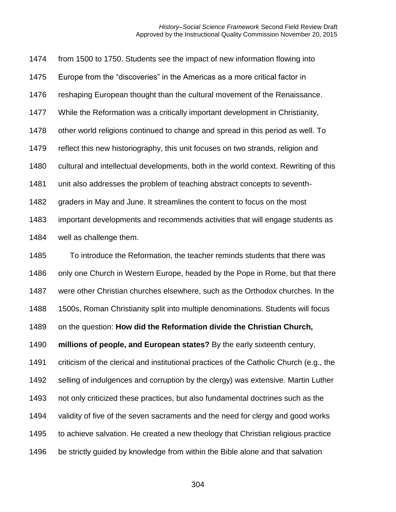from 1500 to 1750. Students see the impact of new information flowing into Europe from the "discoveries" in the Americas as a more critical factor in reshaping European thought than the cultural movement of the Renaissance. While the Reformation was a critically important development in Christianity, other world religions continued to change and spread in this period as well. To reflect this new historiography, this unit focuses on two strands, religion and cultural and intellectual developments, both in the world context. Rewriting of this unit also addresses the problem of teaching abstract concepts to seventh- graders in May and June. It streamlines the content to focus on the most important developments and recommends activities that will engage students as well as challenge them. To introduce the Reformation, the teacher reminds students that there was 1486 only one Church in Western Europe, headed by the Pope in Rome, but that there were other Christian churches elsewhere, such as the Orthodox churches. In the 1500s, Roman Christianity split into multiple denominations. Students will focus on the question: **How did the Reformation divide the Christian Church, millions of people, and European states?** By the early sixteenth century, criticism of the clerical and institutional practices of the Catholic Church (e.g., the selling of indulgences and corruption by the clergy) was extensive. Martin Luther not only criticized these practices, but also fundamental doctrines such as the validity of five of the seven sacraments and the need for clergy and good works to achieve salvation. He created a new theology that Christian religious practice be strictly guided by knowledge from within the Bible alone and that salvation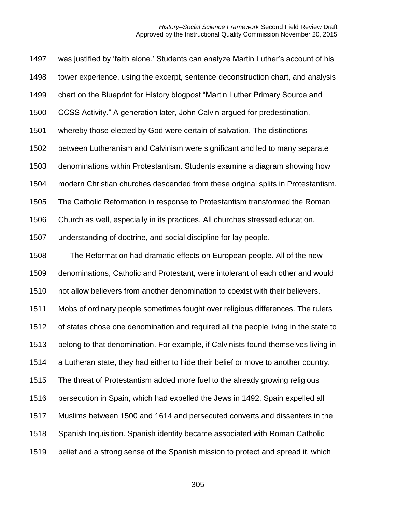was justified by 'faith alone.' Students can analyze Martin Luther's account of his tower experience, using the excerpt, sentence deconstruction chart, and analysis chart on the Blueprint for History blogpost "Martin Luther Primary Source and CCSS Activity." A generation later, John Calvin argued for predestination, whereby those elected by God were certain of salvation. The distinctions between Lutheranism and Calvinism were significant and led to many separate denominations within Protestantism. Students examine a diagram showing how modern Christian churches descended from these original splits in Protestantism. The Catholic Reformation in response to Protestantism transformed the Roman Church as well, especially in its practices. All churches stressed education, understanding of doctrine, and social discipline for lay people. The Reformation had dramatic effects on European people. All of the new denominations, Catholic and Protestant, were intolerant of each other and would not allow believers from another denomination to coexist with their believers. Mobs of ordinary people sometimes fought over religious differences. The rulers of states chose one denomination and required all the people living in the state to belong to that denomination. For example, if Calvinists found themselves living in a Lutheran state, they had either to hide their belief or move to another country. The threat of Protestantism added more fuel to the already growing religious persecution in Spain, which had expelled the Jews in 1492. Spain expelled all Muslims between 1500 and 1614 and persecuted converts and dissenters in the Spanish Inquisition. Spanish identity became associated with Roman Catholic belief and a strong sense of the Spanish mission to protect and spread it, which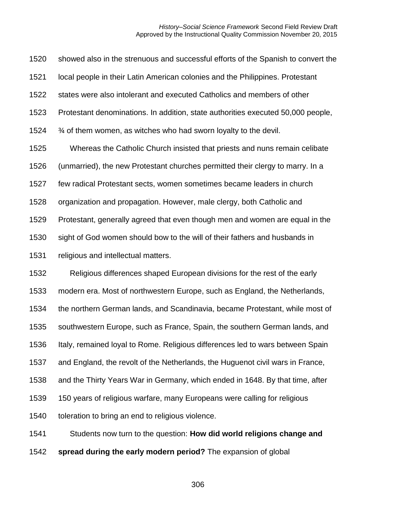showed also in the strenuous and successful efforts of the Spanish to convert the local people in their Latin American colonies and the Philippines. Protestant states were also intolerant and executed Catholics and members of other Protestant denominations. In addition, state authorities executed 50,000 people,  $\frac{3}{4}$  of them women, as witches who had sworn loyalty to the devil. Whereas the Catholic Church insisted that priests and nuns remain celibate (unmarried), the new Protestant churches permitted their clergy to marry. In a few radical Protestant sects, women sometimes became leaders in church organization and propagation. However, male clergy, both Catholic and Protestant, generally agreed that even though men and women are equal in the sight of God women should bow to the will of their fathers and husbands in religious and intellectual matters. Religious differences shaped European divisions for the rest of the early modern era. Most of northwestern Europe, such as England, the Netherlands, the northern German lands, and Scandinavia, became Protestant, while most of southwestern Europe, such as France, Spain, the southern German lands, and 1536 Italy, remained loyal to Rome. Religious differences led to wars between Spain and England, the revolt of the Netherlands, the Huguenot civil wars in France, and the Thirty Years War in Germany, which ended in 1648. By that time, after

150 years of religious warfare, many Europeans were calling for religious

toleration to bring an end to religious violence.

Students now turn to the question: **How did world religions change and** 

**spread during the early modern period?** The expansion of global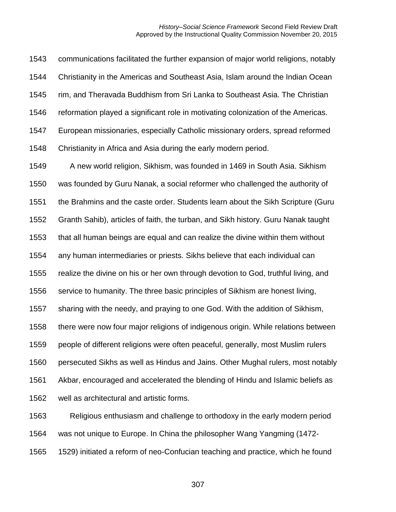communications facilitated the further expansion of major world religions, notably Christianity in the Americas and Southeast Asia, Islam around the Indian Ocean rim, and Theravada Buddhism from Sri Lanka to Southeast Asia. The Christian reformation played a significant role in motivating colonization of the Americas. European missionaries, especially Catholic missionary orders, spread reformed Christianity in Africa and Asia during the early modern period.

 A new world religion, Sikhism, was founded in 1469 in South Asia. Sikhism was founded by Guru Nanak, a social reformer who challenged the authority of the Brahmins and the caste order. Students learn about the Sikh Scripture (Guru Granth Sahib), articles of faith, the turban, and Sikh history. Guru Nanak taught that all human beings are equal and can realize the divine within them without any human intermediaries or priests. Sikhs believe that each individual can realize the divine on his or her own through devotion to God, truthful living, and service to humanity. The three basic principles of Sikhism are honest living, sharing with the needy, and praying to one God. With the addition of Sikhism, there were now four major religions of indigenous origin. While relations between people of different religions were often peaceful, generally, most Muslim rulers persecuted Sikhs as well as Hindus and Jains. Other Mughal rulers, most notably Akbar, encouraged and accelerated the blending of Hindu and Islamic beliefs as well as architectural and artistic forms.

 Religious enthusiasm and challenge to orthodoxy in the early modern period was not unique to Europe. In China the philosopher Wang Yangming (1472-

1529) initiated a reform of neo-Confucian teaching and practice, which he found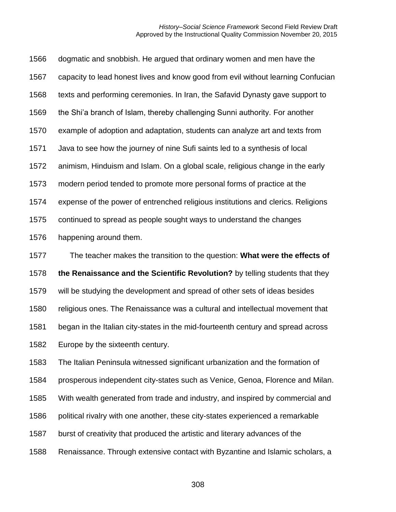dogmatic and snobbish. He argued that ordinary women and men have the capacity to lead honest lives and know good from evil without learning Confucian texts and performing ceremonies. In Iran, the Safavid Dynasty gave support to the Shi'a branch of Islam, thereby challenging Sunni authority. For another example of adoption and adaptation, students can analyze art and texts from Java to see how the journey of nine Sufi saints led to a synthesis of local animism, Hinduism and Islam. On a global scale, religious change in the early modern period tended to promote more personal forms of practice at the expense of the power of entrenched religious institutions and clerics. Religions continued to spread as people sought ways to understand the changes happening around them. The teacher makes the transition to the question: **What were the effects of** 

**the Renaissance and the Scientific Revolution?** by telling students that they

will be studying the development and spread of other sets of ideas besides

religious ones. The Renaissance was a cultural and intellectual movement that

began in the Italian city-states in the mid-fourteenth century and spread across

Europe by the sixteenth century.

The Italian Peninsula witnessed significant urbanization and the formation of

prosperous independent city-states such as Venice, Genoa, Florence and Milan.

With wealth generated from trade and industry, and inspired by commercial and

political rivalry with one another, these city-states experienced a remarkable

burst of creativity that produced the artistic and literary advances of the

Renaissance. Through extensive contact with Byzantine and Islamic scholars, a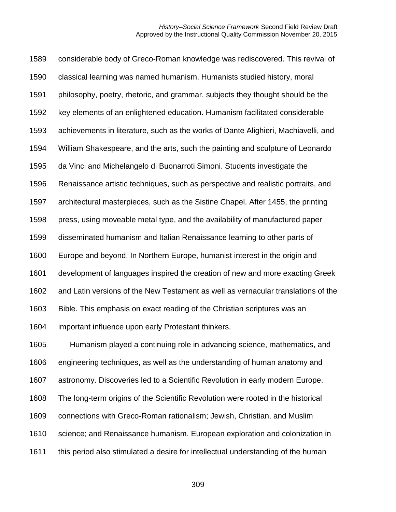considerable body of Greco-Roman knowledge was rediscovered. This revival of classical learning was named humanism. Humanists studied history, moral philosophy, poetry, rhetoric, and grammar, subjects they thought should be the key elements of an enlightened education. Humanism facilitated considerable achievements in literature, such as the works of Dante Alighieri, Machiavelli, and William Shakespeare, and the arts, such the painting and sculpture of Leonardo da Vinci and Michelangelo di Buonarroti Simoni. Students investigate the Renaissance artistic techniques, such as perspective and realistic portraits, and architectural masterpieces, such as the Sistine Chapel. After 1455, the printing press, using moveable metal type, and the availability of manufactured paper disseminated humanism and Italian Renaissance learning to other parts of Europe and beyond. In Northern Europe, humanist interest in the origin and development of languages inspired the creation of new and more exacting Greek and Latin versions of the New Testament as well as vernacular translations of the Bible. This emphasis on exact reading of the Christian scriptures was an important influence upon early Protestant thinkers. Humanism played a continuing role in advancing science, mathematics, and engineering techniques, as well as the understanding of human anatomy and astronomy. Discoveries led to a Scientific Revolution in early modern Europe.

- The long-term origins of the Scientific Revolution were rooted in the historical
- connections with Greco-Roman rationalism; Jewish, Christian, and Muslim
- science; and Renaissance humanism. European exploration and colonization in
- this period also stimulated a desire for intellectual understanding of the human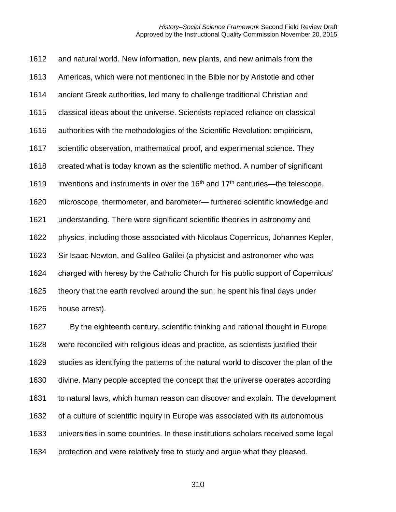and natural world. New information, new plants, and new animals from the Americas, which were not mentioned in the Bible nor by Aristotle and other ancient Greek authorities, led many to challenge traditional Christian and classical ideas about the universe. Scientists replaced reliance on classical authorities with the methodologies of the Scientific Revolution: empiricism, scientific observation, mathematical proof, and experimental science. They created what is today known as the scientific method. A number of significant 1619 inventions and instruments in over the  $16<sup>th</sup>$  and  $17<sup>th</sup>$  centuries—the telescope, microscope, thermometer, and barometer— furthered scientific knowledge and understanding. There were significant scientific theories in astronomy and physics, including those associated with Nicolaus Copernicus, Johannes Kepler, Sir Isaac Newton, and Galileo Galilei (a physicist and astronomer who was charged with heresy by the Catholic Church for his public support of Copernicus' theory that the earth revolved around the sun; he spent his final days under house arrest).

 By the eighteenth century, scientific thinking and rational thought in Europe were reconciled with religious ideas and practice, as scientists justified their studies as identifying the patterns of the natural world to discover the plan of the divine. Many people accepted the concept that the universe operates according to natural laws, which human reason can discover and explain. The development of a culture of scientific inquiry in Europe was associated with its autonomous universities in some countries. In these institutions scholars received some legal protection and were relatively free to study and argue what they pleased.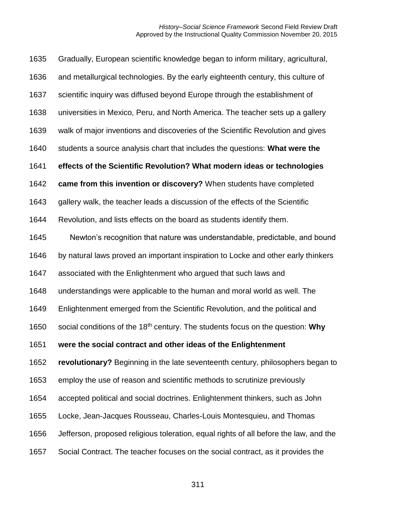| 1635 | Gradually, European scientific knowledge began to inform military, agricultural,           |
|------|--------------------------------------------------------------------------------------------|
| 1636 | and metallurgical technologies. By the early eighteenth century, this culture of           |
| 1637 | scientific inquiry was diffused beyond Europe through the establishment of                 |
| 1638 | universities in Mexico, Peru, and North America. The teacher sets up a gallery             |
| 1639 | walk of major inventions and discoveries of the Scientific Revolution and gives            |
| 1640 | students a source analysis chart that includes the questions: What were the                |
| 1641 | effects of the Scientific Revolution? What modern ideas or technologies                    |
| 1642 | came from this invention or discovery? When students have completed                        |
| 1643 | gallery walk, the teacher leads a discussion of the effects of the Scientific              |
| 1644 | Revolution, and lists effects on the board as students identify them.                      |
| 1645 | Newton's recognition that nature was understandable, predictable, and bound                |
| 1646 | by natural laws proved an important inspiration to Locke and other early thinkers          |
| 1647 | associated with the Enlightenment who argued that such laws and                            |
| 1648 | understandings were applicable to the human and moral world as well. The                   |
| 1649 | Enlightenment emerged from the Scientific Revolution, and the political and                |
| 1650 | social conditions of the 18 <sup>th</sup> century. The students focus on the question: Why |
| 1651 | were the social contract and other ideas of the Enlightenment                              |
| 1652 | revolutionary? Beginning in the late seventeenth century, philosophers began to            |
| 1653 | employ the use of reason and scientific methods to scrutinize previously                   |
| 1654 | accepted political and social doctrines. Enlightenment thinkers, such as John              |
| 1655 | Locke, Jean-Jacques Rousseau, Charles-Louis Montesquieu, and Thomas                        |
| 1656 | Jefferson, proposed religious toleration, equal rights of all before the law, and the      |
| 1657 | Social Contract. The teacher focuses on the social contract, as it provides the            |